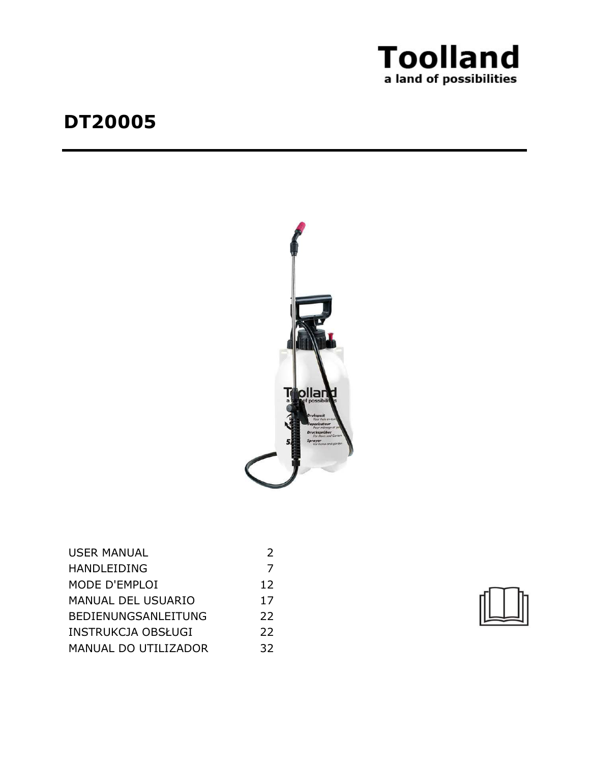

# **DT20005**



| <b>USER MANUAL</b>         |    |
|----------------------------|----|
| <b>HANDLEIDING</b>         | 7  |
| MODE D'EMPLOI              | 12 |
| <b>MANUAL DEL USUARIO</b>  | 17 |
| <b>BEDIENUNGSANLEITUNG</b> | 22 |
| <b>INSTRUKCJA OBSŁUGI</b>  | 22 |
| MANUAL DO UTILIZADOR       | 32 |

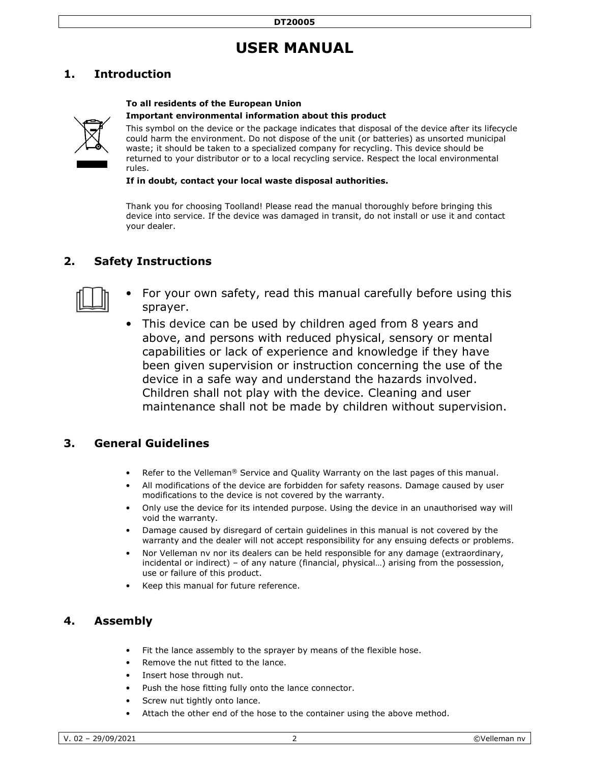# **USER MANUAL**

# **1. Introduction**

### **To all residents of the European Union**

#### **Important environmental information about this product**



This symbol on the device or the package indicates that disposal of the device after its lifecycle could harm the environment. Do not dispose of the unit (or batteries) as unsorted municipal waste; it should be taken to a specialized company for recycling. This device should be returned to your distributor or to a local recycling service. Respect the local environmental rules.

**If in doubt, contact your local waste disposal authorities.**

Thank you for choosing Toolland! Please read the manual thoroughly before bringing this device into service. If the device was damaged in transit, do not install or use it and contact your dealer.

## **2. Safety Instructions**



- For your own safety, read this manual carefully before using this sprayer.
- This device can be used by children aged from 8 years and above, and persons with reduced physical, sensory or mental capabilities or lack of experience and knowledge if they have been given supervision or instruction concerning the use of the device in a safe way and understand the hazards involved. Children shall not play with the device. Cleaning and user maintenance shall not be made by children without supervision.

## **3. General Guidelines**

- Refer to the Velleman<sup>®</sup> Service and Quality Warranty on the last pages of this manual.
- All modifications of the device are forbidden for safety reasons. Damage caused by user modifications to the device is not covered by the warranty.
- Only use the device for its intended purpose. Using the device in an unauthorised way will void the warranty.
- Damage caused by disregard of certain guidelines in this manual is not covered by the warranty and the dealer will not accept responsibility for any ensuing defects or problems.
- Nor Velleman nv nor its dealers can be held responsible for any damage (extraordinary, incidental or indirect) – of any nature (financial, physical…) arising from the possession, use or failure of this product.
- Keep this manual for future reference.

# **4. Assembly**

- Fit the lance assembly to the sprayer by means of the flexible hose.
- Remove the nut fitted to the lance.
- Insert hose through nut.
- Push the hose fitting fully onto the lance connector.
- Screw nut tightly onto lance.
- Attach the other end of the hose to the container using the above method.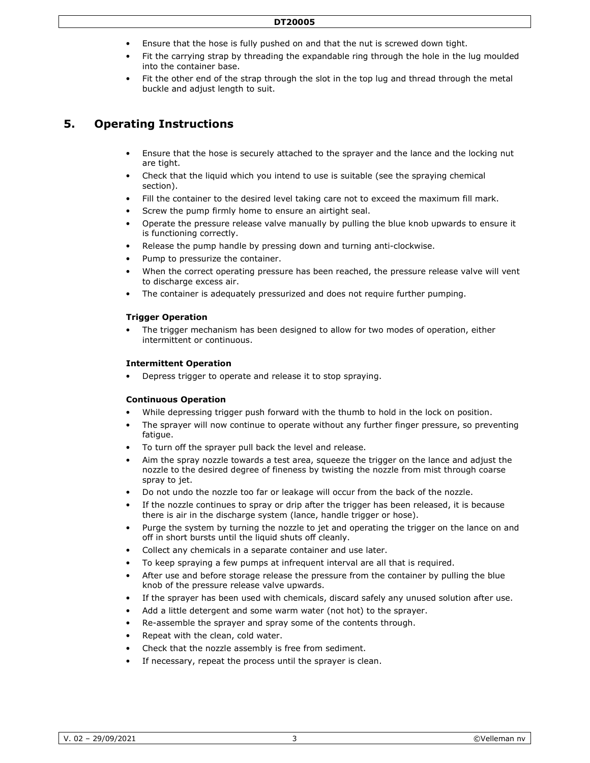#### **DT20005**

- Ensure that the hose is fully pushed on and that the nut is screwed down tight.
- Fit the carrying strap by threading the expandable ring through the hole in the lug moulded into the container base.
- Fit the other end of the strap through the slot in the top lug and thread through the metal buckle and adjust length to suit.

# **5. Operating Instructions**

- Ensure that the hose is securely attached to the sprayer and the lance and the locking nut are tight.
- Check that the liquid which you intend to use is suitable (see the spraying chemical section).
- Fill the container to the desired level taking care not to exceed the maximum fill mark.
- Screw the pump firmly home to ensure an airtight seal.
- Operate the pressure release valve manually by pulling the blue knob upwards to ensure it is functioning correctly.
- Release the pump handle by pressing down and turning anti-clockwise.
- Pump to pressurize the container.
- When the correct operating pressure has been reached, the pressure release valve will vent to discharge excess air.
- The container is adequately pressurized and does not require further pumping.

### **Trigger Operation**

The trigger mechanism has been designed to allow for two modes of operation, either intermittent or continuous.

#### **Intermittent Operation**

• Depress trigger to operate and release it to stop spraying.

#### **Continuous Operation**

- While depressing trigger push forward with the thumb to hold in the lock on position.
- The sprayer will now continue to operate without any further finger pressure, so preventing fatigue.
- To turn off the sprayer pull back the level and release.
- Aim the spray nozzle towards a test area, squeeze the trigger on the lance and adjust the nozzle to the desired degree of fineness by twisting the nozzle from mist through coarse spray to jet.
- Do not undo the nozzle too far or leakage will occur from the back of the nozzle.
- If the nozzle continues to spray or drip after the trigger has been released, it is because there is air in the discharge system (lance, handle trigger or hose).
- Purge the system by turning the nozzle to jet and operating the trigger on the lance on and off in short bursts until the liquid shuts off cleanly.
- Collect any chemicals in a separate container and use later.
- To keep spraying a few pumps at infrequent interval are all that is required.
- After use and before storage release the pressure from the container by pulling the blue knob of the pressure release valve upwards.
- If the sprayer has been used with chemicals, discard safely any unused solution after use.
- Add a little detergent and some warm water (not hot) to the sprayer.
- Re-assemble the sprayer and spray some of the contents through.
- Repeat with the clean, cold water.
- Check that the nozzle assembly is free from sediment.
- If necessary, repeat the process until the sprayer is clean.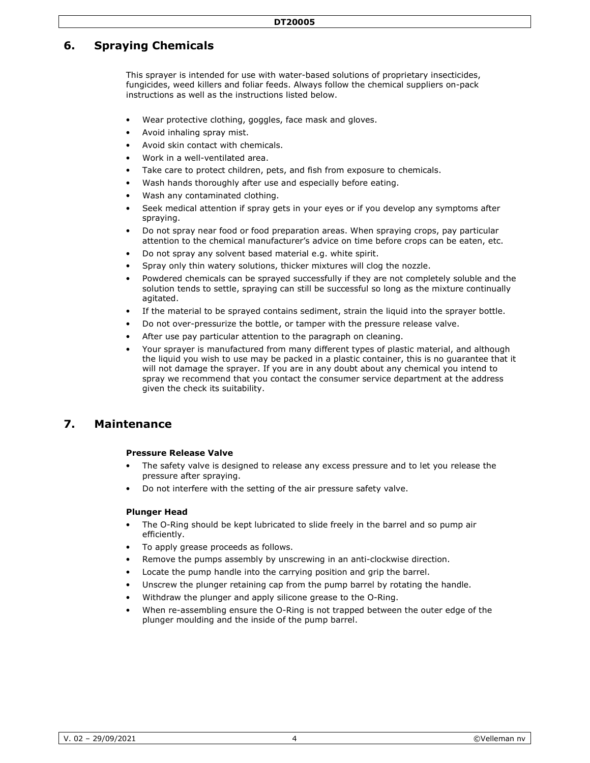# **6. Spraying Chemicals**

This sprayer is intended for use with water-based solutions of proprietary insecticides, fungicides, weed killers and foliar feeds. Always follow the chemical suppliers on-pack instructions as well as the instructions listed below.

- Wear protective clothing, goggles, face mask and gloves.
- Avoid inhaling spray mist.
- Avoid skin contact with chemicals.
- Work in a well-ventilated area.
- Take care to protect children, pets, and fish from exposure to chemicals.
- Wash hands thoroughly after use and especially before eating.
- Wash any contaminated clothing.
- Seek medical attention if spray gets in your eyes or if you develop any symptoms after spraying.
- Do not spray near food or food preparation areas. When spraying crops, pay particular attention to the chemical manufacturer's advice on time before crops can be eaten, etc.
- Do not spray any solvent based material e.g. white spirit.
- Spray only thin watery solutions, thicker mixtures will clog the nozzle.
- Powdered chemicals can be sprayed successfully if they are not completely soluble and the solution tends to settle, spraying can still be successful so long as the mixture continually agitated.
- If the material to be sprayed contains sediment, strain the liquid into the sprayer bottle.
- Do not over-pressurize the bottle, or tamper with the pressure release valve.
- After use pay particular attention to the paragraph on cleaning.
- Your sprayer is manufactured from many different types of plastic material, and although the liquid you wish to use may be packed in a plastic container, this is no guarantee that it will not damage the sprayer. If you are in any doubt about any chemical you intend to spray we recommend that you contact the consumer service department at the address given the check its suitability.

### **7. Maintenance**

#### **Pressure Release Valve**

- The safety valve is designed to release any excess pressure and to let you release the pressure after spraying.
- Do not interfere with the setting of the air pressure safety valve.

#### **Plunger Head**

- The O-Ring should be kept lubricated to slide freely in the barrel and so pump air efficiently.
- To apply grease proceeds as follows.
- Remove the pumps assembly by unscrewing in an anti-clockwise direction.
- Locate the pump handle into the carrying position and grip the barrel.
- Unscrew the plunger retaining cap from the pump barrel by rotating the handle.
- Withdraw the plunger and apply silicone grease to the O-Ring.
- When re-assembling ensure the O-Ring is not trapped between the outer edge of the plunger moulding and the inside of the pump barrel.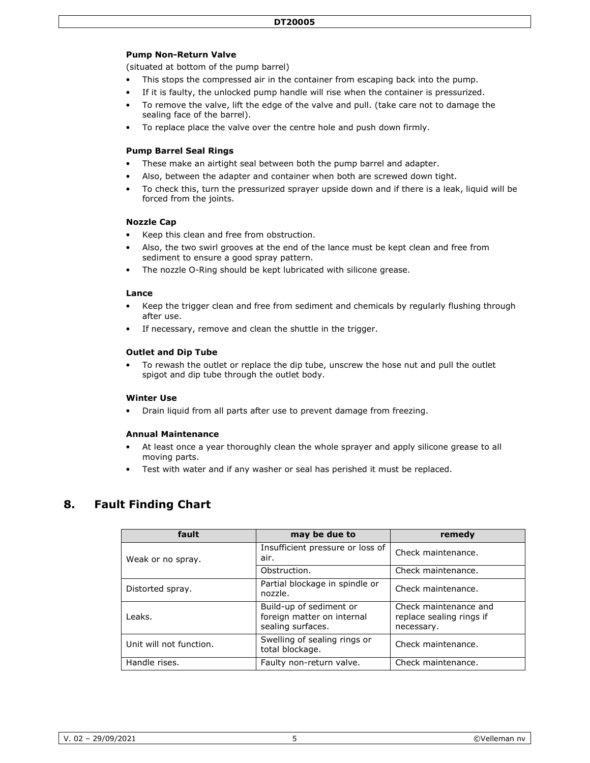### **Pump Non-Return Valve**

(situated at bottom of the pump barrel)

- This stops the compressed air in the container from escaping back into the pump.
- If it is faulty, the unlocked pump handle will rise when the container is pressurized.
- To remove the valve, lift the edge of the valve and pull. (take care not to damage the sealing face of the barrel).
- To replace place the valve over the centre hole and push down firmly.

### **Pump Barrel Seal Rings**

- These make an airtight seal between both the pump barrel and adapter.
- Also, between the adapter and container when both are screwed down tight.
- To check this, turn the pressurized sprayer upside down and if there is a leak, liquid will be forced from the joints.

#### **Nozzle Cap**

- Keep this clean and free from obstruction.
- Also, the two swirl grooves at the end of the lance must be kept clean and free from sediment to ensure a good spray pattern.
- The nozzle O-Ring should be kept lubricated with silicone grease.

#### **Lance**

- Keep the trigger clean and free from sediment and chemicals by regularly flushing through after use.
- If necessary, remove and clean the shuttle in the trigger.

#### **Outlet and Dip Tube**

• To rewash the outlet or replace the dip tube, unscrew the hose nut and pull the outlet spigot and dip tube through the outlet body.

#### **Winter Use**

• Drain liquid from all parts after use to prevent damage from freezing.

#### **Annual Maintenance**

- At least once a year thoroughly clean the whole sprayer and apply silicone grease to all moving parts.
- Test with water and if any washer or seal has perished it must be replaced.

## **8. Fault Finding Chart**

| fault                   | may be due to                                                              | remedy                                                          |
|-------------------------|----------------------------------------------------------------------------|-----------------------------------------------------------------|
| Weak or no spray.       | Insufficient pressure or loss of<br>air.                                   | Check maintenance.                                              |
|                         | Obstruction.                                                               | Check maintenance.                                              |
| Distorted spray.        | Partial blockage in spindle or<br>nozzle.                                  | Check maintenance.                                              |
| Leaks.                  | Build-up of sediment or<br>foreign matter on internal<br>sealing surfaces. | Check maintenance and<br>replace sealing rings if<br>necessary. |
| Unit will not function. | Swelling of sealing rings or<br>total blockage.                            | Check maintenance.                                              |
| Handle rises.           | Faulty non-return valve.                                                   | Check maintenance.                                              |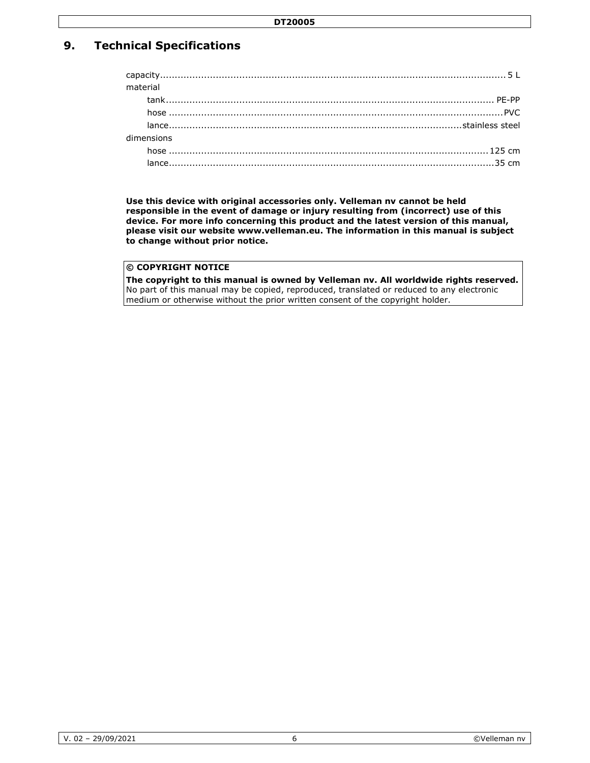# **9. Technical Specifications**

| material |            |  |
|----------|------------|--|
|          |            |  |
|          |            |  |
|          |            |  |
|          | dimensions |  |
|          |            |  |
|          |            |  |
|          |            |  |

**Use this device with original accessories only. Velleman nv cannot be held responsible in the event of damage or injury resulting from (incorrect) use of this device. For more info concerning this product and the latest version of this manual, please visit our website www.velleman.eu. The information in this manual is subject to change without prior notice.**

### **© COPYRIGHT NOTICE**

**The copyright to this manual is owned by Velleman nv. All worldwide rights reserved.**  No part of this manual may be copied, reproduced, translated or reduced to any electronic medium or otherwise without the prior written consent of the copyright holder.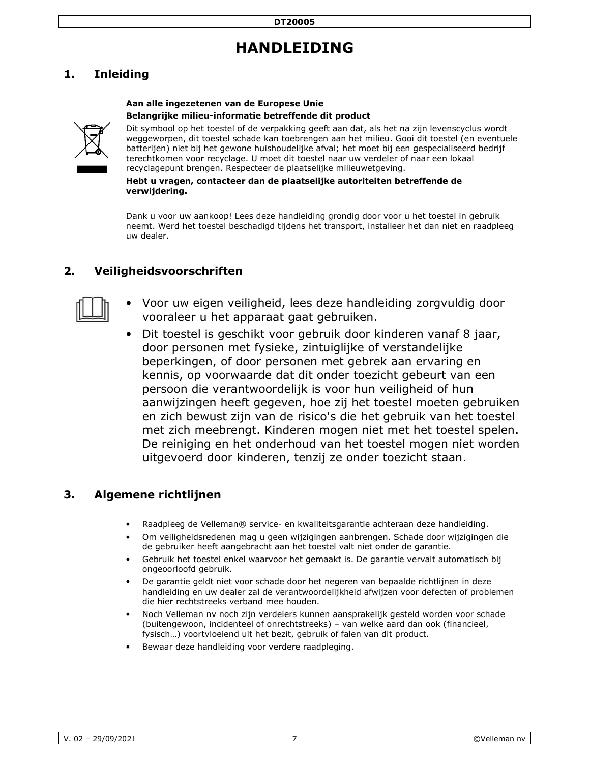# **HANDLEIDING**

# **1. Inleiding**

### **Aan alle ingezetenen van de Europese Unie**

### **Belangrijke milieu-informatie betreffende dit product**



Dit symbool op het toestel of de verpakking geeft aan dat, als het na zijn levenscyclus wordt weggeworpen, dit toestel schade kan toebrengen aan het milieu. Gooi dit toestel (en eventuele batterijen) niet bij het gewone huishoudelijke afval; het moet bij een gespecialiseerd bedrijf terechtkomen voor recyclage. U moet dit toestel naar uw verdeler of naar een lokaal recyclagepunt brengen. Respecteer de plaatselijke milieuwetgeving.

**Hebt u vragen, contacteer dan de plaatselijke autoriteiten betreffende de verwijdering.** 

Dank u voor uw aankoop! Lees deze handleiding grondig door voor u het toestel in gebruik neemt. Werd het toestel beschadigd tijdens het transport, installeer het dan niet en raadpleeg uw dealer.

# **2. Veiligheidsvoorschriften**



- Voor uw eigen veiligheid, lees deze handleiding zorgvuldig door vooraleer u het apparaat gaat gebruiken.
- Dit toestel is geschikt voor gebruik door kinderen vanaf 8 jaar, door personen met fysieke, zintuiglijke of verstandelijke beperkingen, of door personen met gebrek aan ervaring en kennis, op voorwaarde dat dit onder toezicht gebeurt van een persoon die verantwoordelijk is voor hun veiligheid of hun aanwijzingen heeft gegeven, hoe zij het toestel moeten gebruiken en zich bewust zijn van de risico's die het gebruik van het toestel met zich meebrengt. Kinderen mogen niet met het toestel spelen. De reiniging en het onderhoud van het toestel mogen niet worden uitgevoerd door kinderen, tenzij ze onder toezicht staan.

## **3. Algemene richtlijnen**

- Raadpleeg de Velleman® service- en kwaliteitsgarantie achteraan deze handleiding.
- Om veiligheidsredenen mag u geen wijzigingen aanbrengen. Schade door wijzigingen die de gebruiker heeft aangebracht aan het toestel valt niet onder de garantie.
- Gebruik het toestel enkel waarvoor het gemaakt is. De garantie vervalt automatisch bij ongeoorloofd gebruik.
- De garantie geldt niet voor schade door het negeren van bepaalde richtlijnen in deze handleiding en uw dealer zal de verantwoordelijkheid afwijzen voor defecten of problemen die hier rechtstreeks verband mee houden.
- Noch Velleman nv noch zijn verdelers kunnen aansprakelijk gesteld worden voor schade (buitengewoon, incidenteel of onrechtstreeks) – van welke aard dan ook (financieel, fysisch…) voortvloeiend uit het bezit, gebruik of falen van dit product.
- Bewaar deze handleiding voor verdere raadpleging.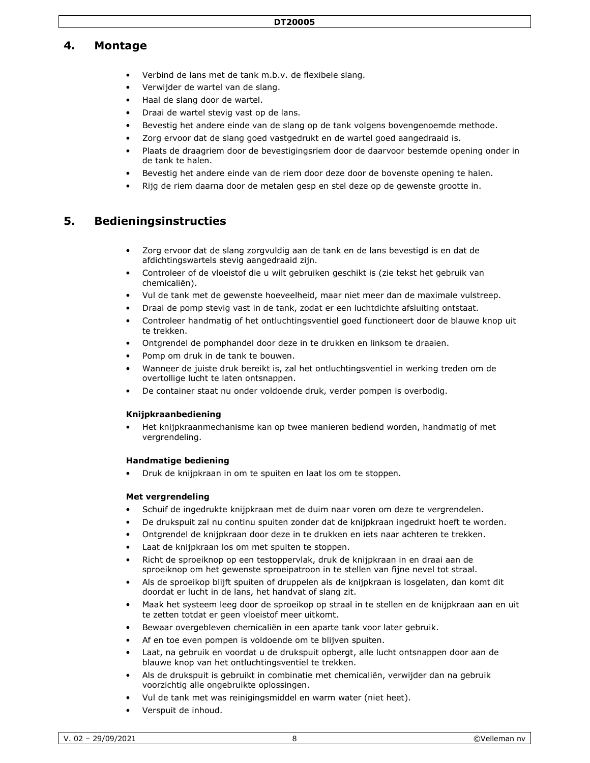### **4. Montage**

- Verbind de lans met de tank m.b.v. de flexibele slang.
- Verwijder de wartel van de slang.
- Haal de slang door de wartel.
- Draai de wartel stevig vast op de lans.
- Bevestig het andere einde van de slang op de tank volgens bovengenoemde methode.
- Zorg ervoor dat de slang goed vastgedrukt en de wartel goed aangedraaid is.
- Plaats de draagriem door de bevestigingsriem door de daarvoor bestemde opening onder in de tank te halen.
- Bevestig het andere einde van de riem door deze door de bovenste opening te halen.
- Rijg de riem daarna door de metalen gesp en stel deze op de gewenste grootte in.

### **5. Bedieningsinstructies**

- Zorg ervoor dat de slang zorgvuldig aan de tank en de lans bevestigd is en dat de afdichtingswartels stevig aangedraaid zijn.
- Controleer of de vloeistof die u wilt gebruiken geschikt is (zie tekst het gebruik van chemicaliën).
- Vul de tank met de gewenste hoeveelheid, maar niet meer dan de maximale vulstreep.
- Draai de pomp stevig vast in de tank, zodat er een luchtdichte afsluiting ontstaat.
- Controleer handmatig of het ontluchtingsventiel goed functioneert door de blauwe knop uit te trekken.
- Ontgrendel de pomphandel door deze in te drukken en linksom te draaien.
- Pomp om druk in de tank te bouwen.
- Wanneer de juiste druk bereikt is, zal het ontluchtingsventiel in werking treden om de overtollige lucht te laten ontsnappen.
- De container staat nu onder voldoende druk, verder pompen is overbodig.

#### **Knijpkraanbediening**

• Het knijpkraanmechanisme kan op twee manieren bediend worden, handmatig of met vergrendeling.

#### **Handmatige bediening**

• Druk de knijpkraan in om te spuiten en laat los om te stoppen.

#### **Met vergrendeling**

- Schuif de ingedrukte knijpkraan met de duim naar voren om deze te vergrendelen.
- De drukspuit zal nu continu spuiten zonder dat de knijpkraan ingedrukt hoeft te worden.
- Ontgrendel de knijpkraan door deze in te drukken en iets naar achteren te trekken.
- Laat de knijpkraan los om met spuiten te stoppen.
- Richt de sproeiknop op een testoppervlak, druk de knijpkraan in en draai aan de sproeiknop om het gewenste sproeipatroon in te stellen van fijne nevel tot straal.
- Als de sproeikop blijft spuiten of druppelen als de knijpkraan is losgelaten, dan komt dit doordat er lucht in de lans, het handvat of slang zit.
- Maak het systeem leeg door de sproeikop op straal in te stellen en de knijpkraan aan en uit te zetten totdat er geen vloeistof meer uitkomt.
- Bewaar overgebleven chemicaliën in een aparte tank voor later gebruik.
- Af en toe even pompen is voldoende om te blijven spuiten.
- Laat, na gebruik en voordat u de drukspuit opbergt, alle lucht ontsnappen door aan de blauwe knop van het ontluchtingsventiel te trekken.
- Als de drukspuit is gebruikt in combinatie met chemicaliën, verwijder dan na gebruik voorzichtig alle ongebruikte oplossingen.
- Vul de tank met was reinigingsmiddel en warm water (niet heet).
- Verspuit de inhoud.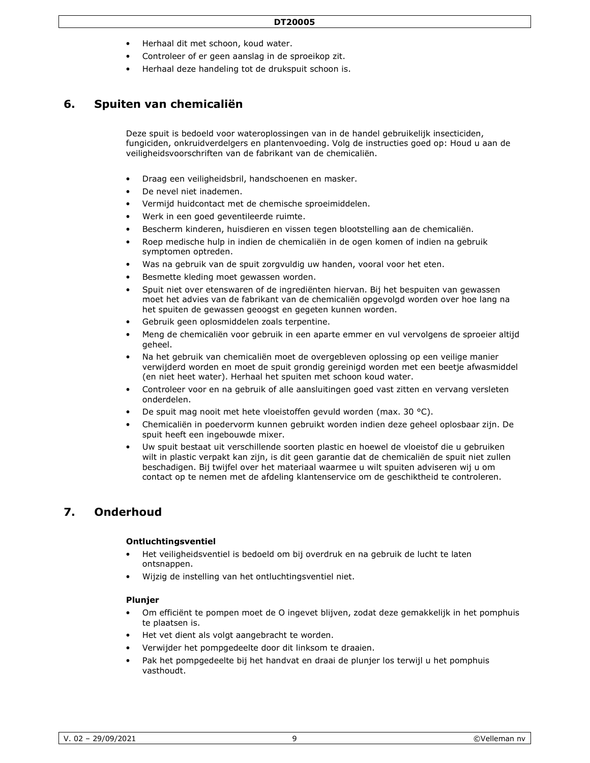- Herhaal dit met schoon, koud water.
- Controleer of er geen aanslag in de sproeikop zit.
- Herhaal deze handeling tot de drukspuit schoon is.

### **6. Spuiten van chemicaliën**

Deze spuit is bedoeld voor wateroplossingen van in de handel gebruikelijk insecticiden, fungiciden, onkruidverdelgers en plantenvoeding. Volg de instructies goed op: Houd u aan de veiligheidsvoorschriften van de fabrikant van de chemicaliën.

- Draag een veiligheidsbril, handschoenen en masker.
- De nevel niet inademen.
- Vermijd huidcontact met de chemische sproeimiddelen.
- Werk in een goed geventileerde ruimte.
- Bescherm kinderen, huisdieren en vissen tegen blootstelling aan de chemicaliën.
- Roep medische hulp in indien de chemicaliën in de ogen komen of indien na gebruik symptomen optreden.
- Was na gebruik van de spuit zorgvuldig uw handen, vooral voor het eten.
- Besmette kleding moet gewassen worden.
- Spuit niet over etenswaren of de ingrediënten hiervan. Bij het bespuiten van gewassen moet het advies van de fabrikant van de chemicaliën opgevolgd worden over hoe lang na het spuiten de gewassen geoogst en gegeten kunnen worden.
- Gebruik geen oplosmiddelen zoals terpentine.
- Meng de chemicaliën voor gebruik in een aparte emmer en vul vervolgens de sproeier altijd geheel.
- Na het gebruik van chemicaliën moet de overgebleven oplossing op een veilige manier verwijderd worden en moet de spuit grondig gereinigd worden met een beetje afwasmiddel (en niet heet water). Herhaal het spuiten met schoon koud water.
- Controleer voor en na gebruik of alle aansluitingen goed vast zitten en vervang versleten onderdelen.
- De spuit mag nooit met hete vloeistoffen gevuld worden (max. 30 °C).
- Chemicaliën in poedervorm kunnen gebruikt worden indien deze geheel oplosbaar zijn. De spuit heeft een ingebouwde mixer.
- Uw spuit bestaat uit verschillende soorten plastic en hoewel de vloeistof die u gebruiken wilt in plastic verpakt kan zijn, is dit geen garantie dat de chemicaliën de spuit niet zullen beschadigen. Bij twijfel over het materiaal waarmee u wilt spuiten adviseren wij u om contact op te nemen met de afdeling klantenservice om de geschiktheid te controleren.

## **7. Onderhoud**

#### **Ontluchtingsventiel**

- Het veiligheidsventiel is bedoeld om bij overdruk en na gebruik de lucht te laten ontsnappen.
- Wijzig de instelling van het ontluchtingsventiel niet.

#### **Plunjer**

- Om efficiënt te pompen moet de O ingevet blijven, zodat deze gemakkelijk in het pomphuis te plaatsen is.
- Het vet dient als volgt aangebracht te worden.
- Verwijder het pompgedeelte door dit linksom te draaien.
- Pak het pompgedeelte bij het handvat en draai de plunjer los terwijl u het pomphuis vasthoudt.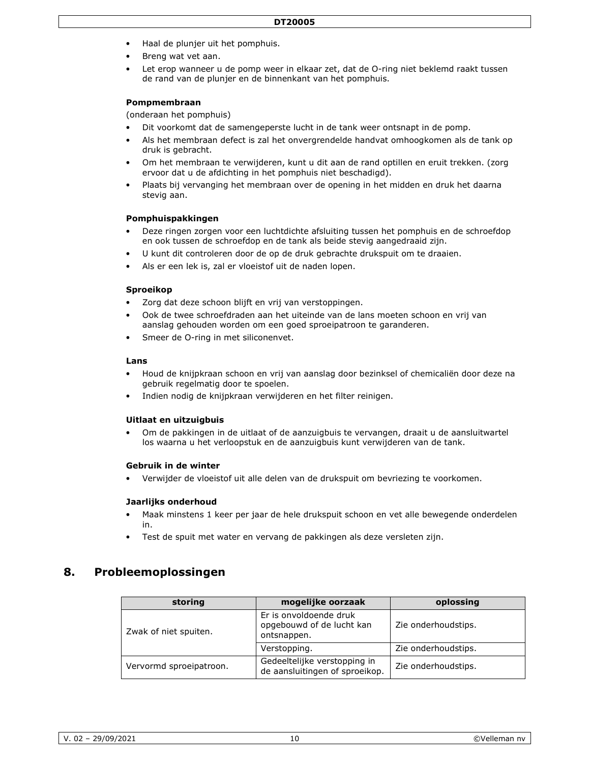- Haal de plunjer uit het pomphuis.
- Breng wat vet aan.
- Let erop wanneer u de pomp weer in elkaar zet, dat de O-ring niet beklemd raakt tussen de rand van de plunjer en de binnenkant van het pomphuis.

#### **Pompmembraan**

(onderaan het pomphuis)

- Dit voorkomt dat de samengeperste lucht in de tank weer ontsnapt in de pomp.
- Als het membraan defect is zal het onvergrendelde handvat omhoogkomen als de tank op druk is gebracht.
- Om het membraan te verwijderen, kunt u dit aan de rand optillen en eruit trekken. (zorg ervoor dat u de afdichting in het pomphuis niet beschadigd).
- Plaats bij vervanging het membraan over de opening in het midden en druk het daarna stevig aan.

#### **Pomphuispakkingen**

- Deze ringen zorgen voor een luchtdichte afsluiting tussen het pomphuis en de schroefdop en ook tussen de schroefdop en de tank als beide stevig aangedraaid zijn.
- U kunt dit controleren door de op de druk gebrachte drukspuit om te draaien.
- Als er een lek is, zal er vloeistof uit de naden lopen.

#### **Sproeikop**

- Zorg dat deze schoon blijft en vrij van verstoppingen.
- Ook de twee schroefdraden aan het uiteinde van de lans moeten schoon en vrij van aanslag gehouden worden om een goed sproeipatroon te garanderen.
- Smeer de O-ring in met siliconenvet.

#### **Lans**

- Houd de knijpkraan schoon en vrij van aanslag door bezinksel of chemicaliën door deze na gebruik regelmatig door te spoelen.
- Indien nodig de knijpkraan verwijderen en het filter reinigen.

#### **Uitlaat en uitzuigbuis**

• Om de pakkingen in de uitlaat of de aanzuigbuis te vervangen, draait u de aansluitwartel los waarna u het verloopstuk en de aanzuigbuis kunt verwijderen van de tank.

#### **Gebruik in de winter**

• Verwijder de vloeistof uit alle delen van de drukspuit om bevriezing te voorkomen.

#### **Jaarlijks onderhoud**

- Maak minstens 1 keer per jaar de hele drukspuit schoon en vet alle bewegende onderdelen in.
- Test de spuit met water en vervang de pakkingen als deze versleten zijn.

### **8. Probleemoplossingen**

| storing                 | mogelijke oorzaak                                                  | oplossing           |
|-------------------------|--------------------------------------------------------------------|---------------------|
| Zwak of niet spuiten.   | Er is onvoldoende druk<br>opgebouwd of de lucht kan<br>ontsnappen. | Zie onderhoudstips. |
|                         | Verstopping.                                                       | Zie onderhoudstips. |
| Vervormd sproeipatroon. | Gedeeltelijke verstopping in<br>de aansluitingen of sproeikop.     | Zie onderhoudstips. |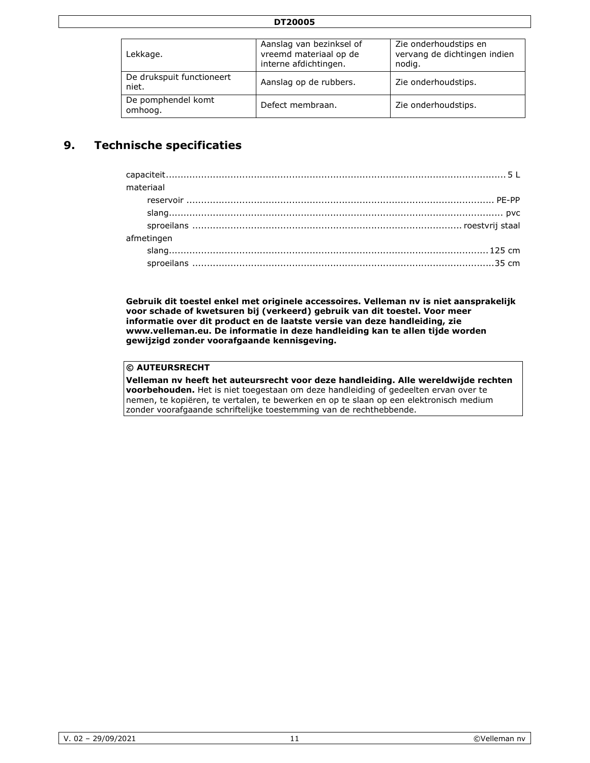| DT20005                            |                                                                             |                                                                 |
|------------------------------------|-----------------------------------------------------------------------------|-----------------------------------------------------------------|
|                                    |                                                                             |                                                                 |
| Lekkage.                           | Aanslag van bezinksel of<br>vreemd materiaal op de<br>interne afdichtingen. | Zie onderhoudstips en<br>vervang de dichtingen indien<br>nodig. |
| De drukspuit functioneert<br>niet. | Aanslag op de rubbers.                                                      | Zie onderhoudstips.                                             |
| De pomphendel komt<br>omhoog.      | Defect membraan.                                                            | Zie onderhoudstips.                                             |

# **9. Technische specificaties**

| materiaal  |
|------------|
|            |
|            |
|            |
| afmetingen |
|            |
|            |
|            |

**Gebruik dit toestel enkel met originele accessoires. Velleman nv is niet aansprakelijk voor schade of kwetsuren bij (verkeerd) gebruik van dit toestel. Voor meer informatie over dit product en de laatste versie van deze handleiding, zie www.velleman.eu. De informatie in deze handleiding kan te allen tijde worden gewijzigd zonder voorafgaande kennisgeving.** 

## **© AUTEURSRECHT**

**Velleman nv heeft het auteursrecht voor deze handleiding. Alle wereldwijde rechten voorbehouden.** Het is niet toegestaan om deze handleiding of gedeelten ervan over te nemen, te kopiëren, te vertalen, te bewerken en op te slaan op een elektronisch medium zonder voorafgaande schriftelijke toestemming van de rechthebbende.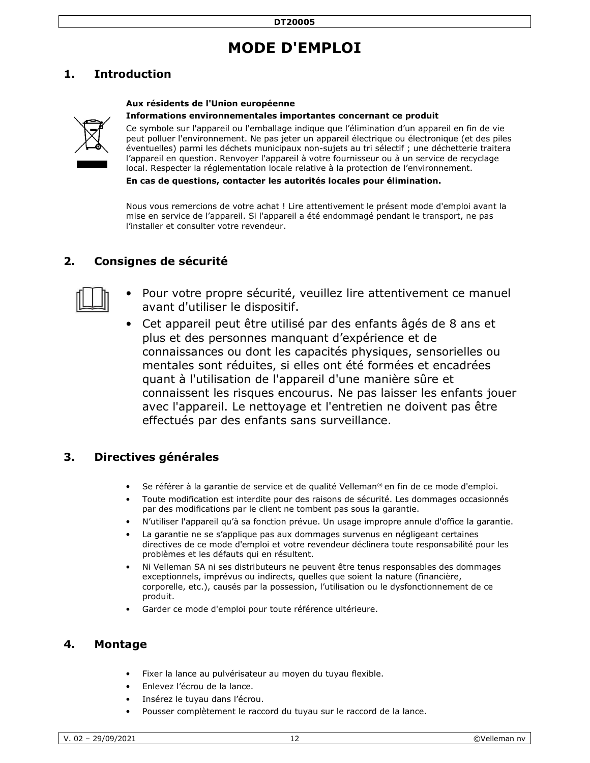# **MODE D'EMPLOI**

# **1. Introduction**

### **Aux résidents de l'Union européenne**

#### **Informations environnementales importantes concernant ce produit**



Ce symbole sur l'appareil ou l'emballage indique que l'élimination d'un appareil en fin de vie peut polluer l'environnement. Ne pas jeter un appareil électrique ou électronique (et des piles éventuelles) parmi les déchets municipaux non-sujets au tri sélectif ; une déchetterie traitera l'appareil en question. Renvoyer l'appareil à votre fournisseur ou à un service de recyclage local. Respecter la réglementation locale relative à la protection de l'environnement.

**En cas de questions, contacter les autorités locales pour élimination.** 

Nous vous remercions de votre achat ! Lire attentivement le présent mode d'emploi avant la mise en service de l'appareil. Si l'appareil a été endommagé pendant le transport, ne pas l'installer et consulter votre revendeur.

# **2. Consignes de sécurité**



- Pour votre propre sécurité, veuillez lire attentivement ce manuel avant d'utiliser le dispositif.
- Cet appareil peut être utilisé par des enfants âgés de 8 ans et plus et des personnes manquant d'expérience et de connaissances ou dont les capacités physiques, sensorielles ou mentales sont réduites, si elles ont été formées et encadrées quant à l'utilisation de l'appareil d'une manière sûre et connaissent les risques encourus. Ne pas laisser les enfants jouer avec l'appareil. Le nettoyage et l'entretien ne doivent pas être effectués par des enfants sans surveillance.

### **3. Directives générales**

- Se référer à la garantie de service et de qualité Velleman® en fin de ce mode d'emploi.
- Toute modification est interdite pour des raisons de sécurité. Les dommages occasionnés par des modifications par le client ne tombent pas sous la garantie.
- N'utiliser l'appareil qu'à sa fonction prévue. Un usage impropre annule d'office la garantie.
- La garantie ne se s'applique pas aux dommages survenus en négligeant certaines directives de ce mode d'emploi et votre revendeur déclinera toute responsabilité pour les problèmes et les défauts qui en résultent.
- Ni Velleman SA ni ses distributeurs ne peuvent être tenus responsables des dommages exceptionnels, imprévus ou indirects, quelles que soient la nature (financière, corporelle, etc.), causés par la possession, l'utilisation ou le dysfonctionnement de ce produit.
- Garder ce mode d'emploi pour toute référence ultérieure.

### **4. Montage**

- Fixer la lance au pulvérisateur au moyen du tuyau flexible.
- Enlevez l'écrou de la lance.
- Insérez le tuyau dans l'écrou.
- Pousser complètement le raccord du tuyau sur le raccord de la lance.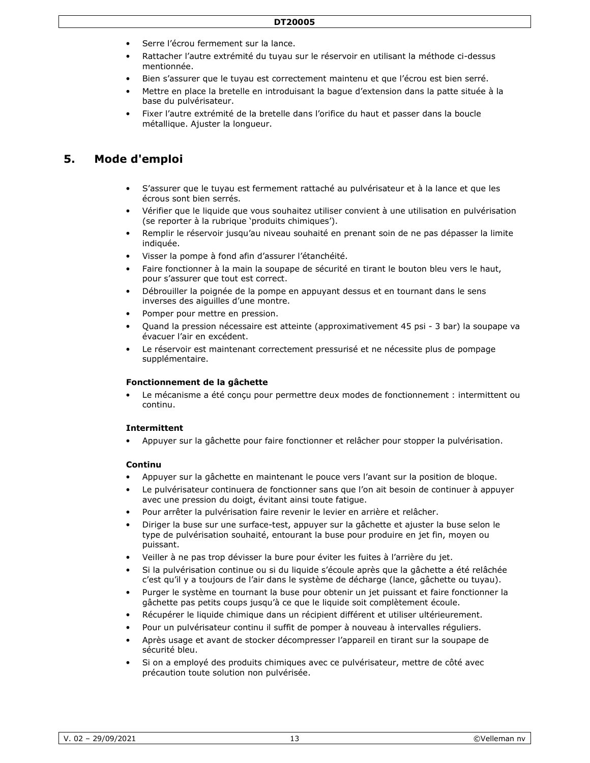- Serre l'écrou fermement sur la lance.
- Rattacher l'autre extrémité du tuyau sur le réservoir en utilisant la méthode ci-dessus mentionnée.
- Bien s'assurer que le tuyau est correctement maintenu et que l'écrou est bien serré.
- Mettre en place la bretelle en introduisant la bague d'extension dans la patte située à la base du pulvérisateur.
- Fixer l'autre extrémité de la bretelle dans l'orifice du haut et passer dans la boucle métallique. Ajuster la longueur.

# **5. Mode d'emploi**

- S'assurer que le tuyau est fermement rattaché au pulvérisateur et à la lance et que les écrous sont bien serrés.
- Vérifier que le liquide que vous souhaitez utiliser convient à une utilisation en pulvérisation (se reporter à la rubrique 'produits chimiques').
- Remplir le réservoir jusqu'au niveau souhaité en prenant soin de ne pas dépasser la limite indiquée.
- Visser la pompe à fond afin d'assurer l'étanchéité.
- Faire fonctionner à la main la soupape de sécurité en tirant le bouton bleu vers le haut, pour s'assurer que tout est correct.
- Débrouiller la poignée de la pompe en appuyant dessus et en tournant dans le sens inverses des aiguilles d'une montre.
- Pomper pour mettre en pression.
- Quand la pression nécessaire est atteinte (approximativement 45 psi 3 bar) la soupape va évacuer l'air en excédent.
- Le réservoir est maintenant correctement pressurisé et ne nécessite plus de pompage supplémentaire.

### **Fonctionnement de la gâchette**

Le mécanisme a été conçu pour permettre deux modes de fonctionnement : intermittent ou continu.

#### **Intermittent**

• Appuyer sur la gâchette pour faire fonctionner et relâcher pour stopper la pulvérisation.

### **Continu**

- Appuyer sur la gâchette en maintenant le pouce vers l'avant sur la position de bloque.
- Le pulvérisateur continuera de fonctionner sans que l'on ait besoin de continuer à appuyer avec une pression du doigt, évitant ainsi toute fatigue.
- Pour arrêter la pulvérisation faire revenir le levier en arrière et relâcher.
- Diriger la buse sur une surface-test, appuyer sur la gâchette et ajuster la buse selon le type de pulvérisation souhaité, entourant la buse pour produire en jet fin, moyen ou puissant.
- Veiller à ne pas trop dévisser la bure pour éviter les fuites à l'arrière du jet.
- Si la pulvérisation continue ou si du liquide s'écoule après que la gâchette a été relâchée c'est qu'il y a toujours de l'air dans le système de décharge (lance, gâchette ou tuyau).
- Purger le système en tournant la buse pour obtenir un jet puissant et faire fonctionner la gâchette pas petits coups jusqu'à ce que le liquide soit complètement écoule.
- Récupérer le liquide chimique dans un récipient différent et utiliser ultérieurement.
- Pour un pulvérisateur continu il suffit de pomper à nouveau à intervalles réguliers.
- Après usage et avant de stocker décompresser l'appareil en tirant sur la soupape de sécurité bleu.
- Si on a employé des produits chimiques avec ce pulvérisateur, mettre de côté avec précaution toute solution non pulvérisée.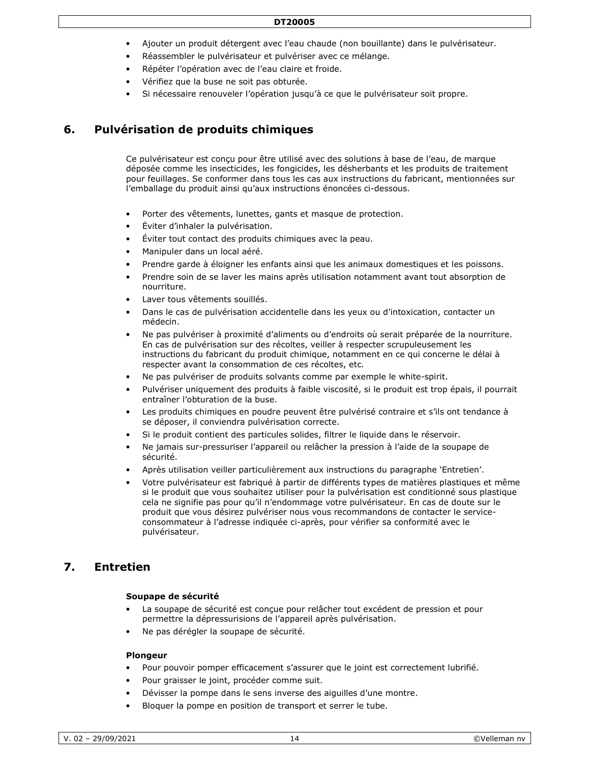- Ajouter un produit détergent avec l'eau chaude (non bouillante) dans le pulvérisateur.
- Réassembler le pulvérisateur et pulvériser avec ce mélange.
- Répéter l'opération avec de l'eau claire et froide.
- Vérifiez que la buse ne soit pas obturée.
- Si nécessaire renouveler l'opération jusqu'à ce que le pulvérisateur soit propre.

# **6. Pulvérisation de produits chimiques**

Ce pulvérisateur est conçu pour être utilisé avec des solutions à base de l'eau, de marque déposée comme les insecticides, les fongicides, les désherbants et les produits de traitement pour feuillages. Se conformer dans tous les cas aux instructions du fabricant, mentionnées sur l'emballage du produit ainsi qu'aux instructions énoncées ci-dessous.

- Porter des vêtements, lunettes, gants et masque de protection.
- Éviter d'inhaler la pulvérisation.
- Éviter tout contact des produits chimiques avec la peau.
- Manipuler dans un local aéré.
- Prendre garde à éloigner les enfants ainsi que les animaux domestiques et les poissons.
- Prendre soin de se laver les mains après utilisation notamment avant tout absorption de nourriture.
- Laver tous vêtements souillés.
- Dans le cas de pulvérisation accidentelle dans les yeux ou d'intoxication, contacter un médecin.
- Ne pas pulvériser à proximité d'aliments ou d'endroits où serait préparée de la nourriture. En cas de pulvérisation sur des récoltes, veiller à respecter scrupuleusement les instructions du fabricant du produit chimique, notamment en ce qui concerne le délai à respecter avant la consommation de ces récoltes, etc.
- Ne pas pulvériser de produits solvants comme par exemple le white-spirit.
- Pulvériser uniquement des produits à faible viscosité, si le produit est trop épais, il pourrait entraîner l'obturation de la buse.
- Les produits chimiques en poudre peuvent être pulvérisé contraire et s'ils ont tendance à se déposer, il conviendra pulvérisation correcte.
- Si le produit contient des particules solides, filtrer le liquide dans le réservoir.
- Ne jamais sur-pressuriser l'appareil ou relâcher la pression à l'aide de la soupape de sécurité.
- Après utilisation veiller particulièrement aux instructions du paragraphe 'Entretien'.
- Votre pulvérisateur est fabriqué à partir de différents types de matières plastiques et même si le produit que vous souhaitez utiliser pour la pulvérisation est conditionné sous plastique cela ne signifie pas pour qu'il n'endommage votre pulvérisateur. En cas de doute sur le produit que vous désirez pulvériser nous vous recommandons de contacter le serviceconsommateur à l'adresse indiquée ci-après, pour vérifier sa conformité avec le pulvérisateur.

### **7. Entretien**

#### **Soupape de sécurité**

- La soupape de sécurité est conçue pour relâcher tout excédent de pression et pour permettre la dépressurisions de l'appareil après pulvérisation.
- Ne pas dérégler la soupape de sécurité.

#### **Plongeur**

- Pour pouvoir pomper efficacement s'assurer que le joint est correctement lubrifié.
- Pour graisser le joint, procéder comme suit.
- Dévisser la pompe dans le sens inverse des aiguilles d'une montre.
- Bloquer la pompe en position de transport et serrer le tube.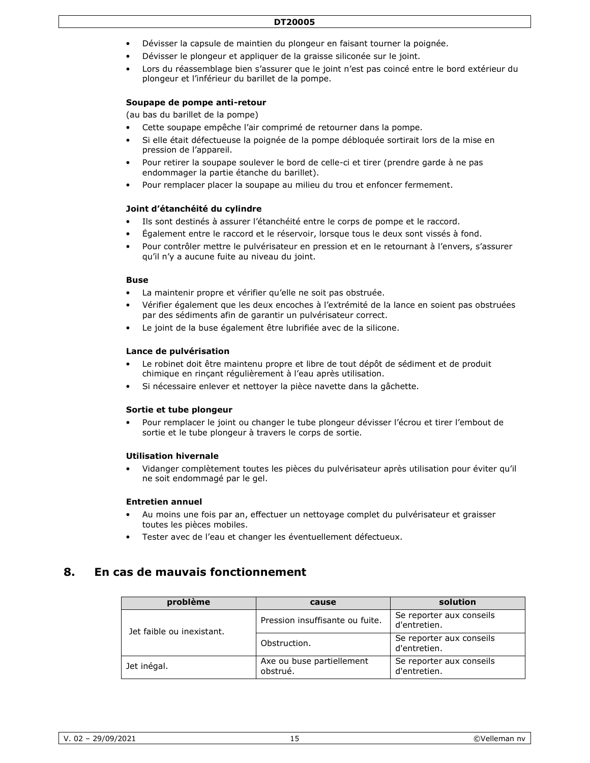#### **DT20005**

- Dévisser la capsule de maintien du plongeur en faisant tourner la poignée.
- Dévisser le plongeur et appliquer de la graisse siliconée sur le joint.
- Lors du réassemblage bien s'assurer que le joint n'est pas coincé entre le bord extérieur du plongeur et l'inférieur du barillet de la pompe.

#### **Soupape de pompe anti-retour**

(au bas du barillet de la pompe)

- Cette soupape empêche l'air comprimé de retourner dans la pompe.
- Si elle était défectueuse la poignée de la pompe débloquée sortirait lors de la mise en pression de l'appareil.
- Pour retirer la soupape soulever le bord de celle-ci et tirer (prendre garde à ne pas endommager la partie étanche du barillet).
- Pour remplacer placer la soupape au milieu du trou et enfoncer fermement.

#### **Joint d'étanchéité du cylindre**

- Ils sont destinés à assurer l'étanchéité entre le corps de pompe et le raccord.
- Également entre le raccord et le réservoir, lorsque tous le deux sont vissés à fond.
- Pour contrôler mettre le pulvérisateur en pression et en le retournant à l'envers, s'assurer qu'il n'y a aucune fuite au niveau du joint.

#### **Buse**

- La maintenir propre et vérifier qu'elle ne soit pas obstruée.
- Vérifier également que les deux encoches à l'extrémité de la lance en soient pas obstruées par des sédiments afin de garantir un pulvérisateur correct.
- Le joint de la buse également être lubrifiée avec de la silicone.

#### **Lance de pulvérisation**

- Le robinet doit être maintenu propre et libre de tout dépôt de sédiment et de produit chimique en rinçant régulièrement à l'eau après utilisation.
- Si nécessaire enlever et nettoyer la pièce navette dans la gâchette.

#### **Sortie et tube plongeur**

• Pour remplacer le joint ou changer le tube plongeur dévisser l'écrou et tirer l'embout de sortie et le tube plongeur à travers le corps de sortie.

#### **Utilisation hivernale**

• Vidanger complètement toutes les pièces du pulvérisateur après utilisation pour éviter qu'il ne soit endommagé par le gel.

#### **Entretien annuel**

- Au moins une fois par an, effectuer un nettoyage complet du pulvérisateur et graisser toutes les pièces mobiles.
- Tester avec de l'eau et changer les éventuellement défectueux.

### **8. En cas de mauvais fonctionnement**

| problème                  | cause                                 | solution                                 |
|---------------------------|---------------------------------------|------------------------------------------|
| Jet faible ou inexistant. | Pression insuffisante ou fuite.       | Se reporter aux conseils<br>d'entretien. |
|                           | Obstruction.                          | Se reporter aux conseils<br>d'entretien. |
| Jet inégal.               | Axe ou buse partiellement<br>obstrué. | Se reporter aux conseils<br>d'entretien. |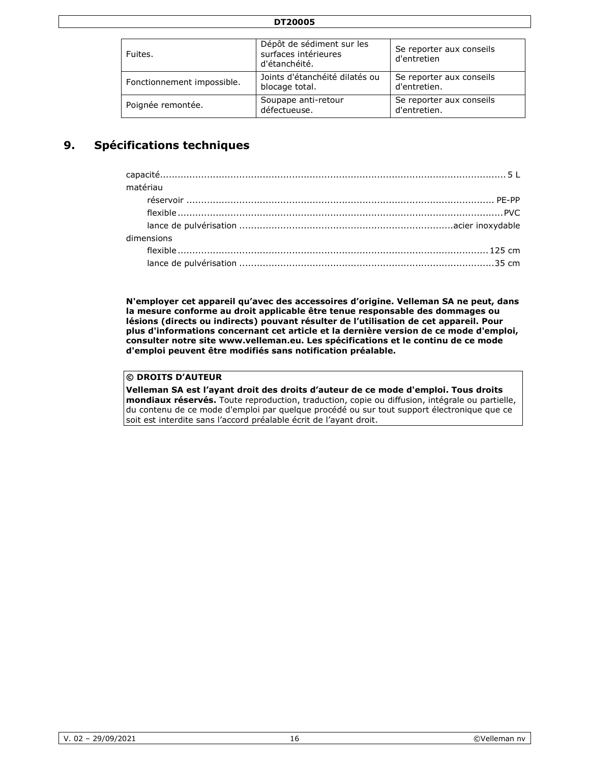| <b>DT20005</b> |
|----------------|
|----------------|

| Fuites.                    | Dépôt de sédiment sur les<br>surfaces intérieures<br>d'étanchéité. | Se reporter aux conseils<br>d'entretien  |
|----------------------------|--------------------------------------------------------------------|------------------------------------------|
| Fonctionnement impossible. | Joints d'étanchéité dilatés ou<br>blocage total.                   | Se reporter aux conseils<br>d'entretien. |
| Poignée remontée.          | Soupape anti-retour<br>défectueuse.                                | Se reporter aux conseils<br>d'entretien. |

# **9. Spécifications techniques**

| matériau   |
|------------|
|            |
|            |
|            |
| dimensions |
|            |
|            |

**N'employer cet appareil qu'avec des accessoires d'origine. Velleman SA ne peut, dans la mesure conforme au droit applicable être tenue responsable des dommages ou lésions (directs ou indirects) pouvant résulter de l'utilisation de cet appareil. Pour plus d'informations concernant cet article et la dernière version de ce mode d'emploi, consulter notre site www.velleman.eu. Les spécifications et le continu de ce mode d'emploi peuvent être modifiés sans notification préalable.** 

### **© DROITS D'AUTEUR**

**Velleman SA est l'ayant droit des droits d'auteur de ce mode d'emploi. Tous droits mondiaux réservés.** Toute reproduction, traduction, copie ou diffusion, intégrale ou partielle, du contenu de ce mode d'emploi par quelque procédé ou sur tout support électronique que ce soit est interdite sans l'accord préalable écrit de l'ayant droit.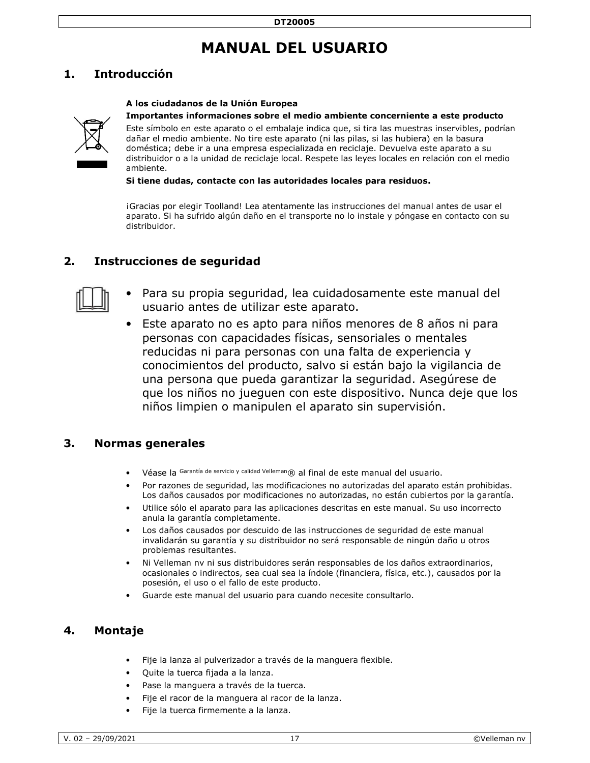# **MANUAL DEL USUARIO**

# **1. Introducción**

### **A los ciudadanos de la Unión Europea**



### **Importantes informaciones sobre el medio ambiente concerniente a este producto**

Este símbolo en este aparato o el embalaje indica que, si tira las muestras inservibles, podrían dañar el medio ambiente. No tire este aparato (ni las pilas, si las hubiera) en la basura doméstica; debe ir a una empresa especializada en reciclaje. Devuelva este aparato a su distribuidor o a la unidad de reciclaje local. Respete las leyes locales en relación con el medio ambiente.

**Si tiene dudas, contacte con las autoridades locales para residuos.** 

¡Gracias por elegir Toolland! Lea atentamente las instrucciones del manual antes de usar el aparato. Si ha sufrido algún daño en el transporte no lo instale y póngase en contacto con su distribuidor.

### **2. Instrucciones de seguridad**



- Para su propia seguridad, lea cuidadosamente este manual del usuario antes de utilizar este aparato.
- Este aparato no es apto para niños menores de 8 años ni para personas con capacidades físicas, sensoriales o mentales reducidas ni para personas con una falta de experiencia y conocimientos del producto, salvo si están bajo la vigilancia de una persona que pueda garantizar la seguridad. Asegúrese de que los niños no jueguen con este dispositivo. Nunca deje que los niños limpien o manipulen el aparato sin supervisión.

### **3. Normas generales**

- Véase la Garantía de servicio y calidad Velleman® al final de este manual del usuario.
- Por razones de seguridad, las modificaciones no autorizadas del aparato están prohibidas. Los daños causados por modificaciones no autorizadas, no están cubiertos por la garantía.
- Utilice sólo el aparato para las aplicaciones descritas en este manual. Su uso incorrecto anula la garantía completamente.
- Los daños causados por descuido de las instrucciones de seguridad de este manual invalidarán su garantía y su distribuidor no será responsable de ningún daño u otros problemas resultantes.
- Ni Velleman nv ni sus distribuidores serán responsables de los daños extraordinarios, ocasionales o indirectos, sea cual sea la índole (financiera, física, etc.), causados por la posesión, el uso o el fallo de este producto.
- Guarde este manual del usuario para cuando necesite consultarlo.

### **4. Montaje**

- Fije la lanza al pulverizador a través de la manguera flexible.
- Quite la tuerca fijada a la lanza.
- Pase la manguera a través de la tuerca.
- Fije el racor de la manguera al racor de la lanza.
- Fije la tuerca firmemente a la lanza.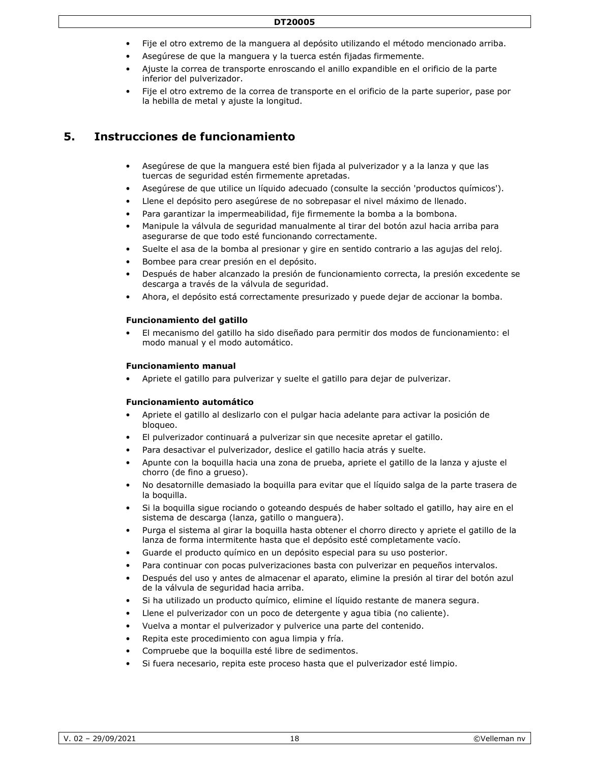- Fije el otro extremo de la manguera al depósito utilizando el método mencionado arriba.
- Asegúrese de que la manguera y la tuerca estén fijadas firmemente.
- Ajuste la correa de transporte enroscando el anillo expandible en el orificio de la parte inferior del pulverizador.
- Fije el otro extremo de la correa de transporte en el orificio de la parte superior, pase por la hebilla de metal y ajuste la longitud.

# **5. Instrucciones de funcionamiento**

- Asegúrese de que la manguera esté bien fijada al pulverizador y a la lanza y que las tuercas de seguridad estén firmemente apretadas.
- Asegúrese de que utilice un líquido adecuado (consulte la sección 'productos químicos').
- Llene el depósito pero asegúrese de no sobrepasar el nivel máximo de llenado.
- Para garantizar la impermeabilidad, fije firmemente la bomba a la bombona.
- Manipule la válvula de seguridad manualmente al tirar del botón azul hacia arriba para asegurarse de que todo esté funcionando correctamente.
- Suelte el asa de la bomba al presionar y gire en sentido contrario a las agujas del reloj.
- Bombee para crear presión en el depósito.
- Después de haber alcanzado la presión de funcionamiento correcta, la presión excedente se descarga a través de la válvula de seguridad.
- Ahora, el depósito está correctamente presurizado y puede dejar de accionar la bomba.

### **Funcionamiento del gatillo**

• El mecanismo del gatillo ha sido diseñado para permitir dos modos de funcionamiento: el modo manual y el modo automático.

#### **Funcionamiento manual**

• Apriete el gatillo para pulverizar y suelte el gatillo para dejar de pulverizar.

### **Funcionamiento automático**

- Apriete el gatillo al deslizarlo con el pulgar hacia adelante para activar la posición de bloqueo.
- El pulverizador continuará a pulverizar sin que necesite apretar el gatillo.
- Para desactivar el pulverizador, deslice el gatillo hacia atrás y suelte.
- Apunte con la boquilla hacia una zona de prueba, apriete el gatillo de la lanza y ajuste el chorro (de fino a grueso).
- No desatornille demasiado la boquilla para evitar que el líquido salga de la parte trasera de la boquilla.
- Si la boquilla sigue rociando o goteando después de haber soltado el gatillo, hay aire en el sistema de descarga (lanza, gatillo o manguera).
- Purga el sistema al girar la boquilla hasta obtener el chorro directo y apriete el gatillo de la lanza de forma intermitente hasta que el depósito esté completamente vacío.
- Guarde el producto químico en un depósito especial para su uso posterior.
- Para continuar con pocas pulverizaciones basta con pulverizar en pequeños intervalos.
- Después del uso y antes de almacenar el aparato, elimine la presión al tirar del botón azul de la válvula de seguridad hacia arriba.
- Si ha utilizado un producto químico, elimine el líquido restante de manera segura.
- Llene el pulverizador con un poco de detergente y agua tibia (no caliente).
- Vuelva a montar el pulverizador y pulverice una parte del contenido.
- Repita este procedimiento con agua limpia y fría.
- Compruebe que la boquilla esté libre de sedimentos.
- Si fuera necesario, repita este proceso hasta que el pulverizador esté limpio.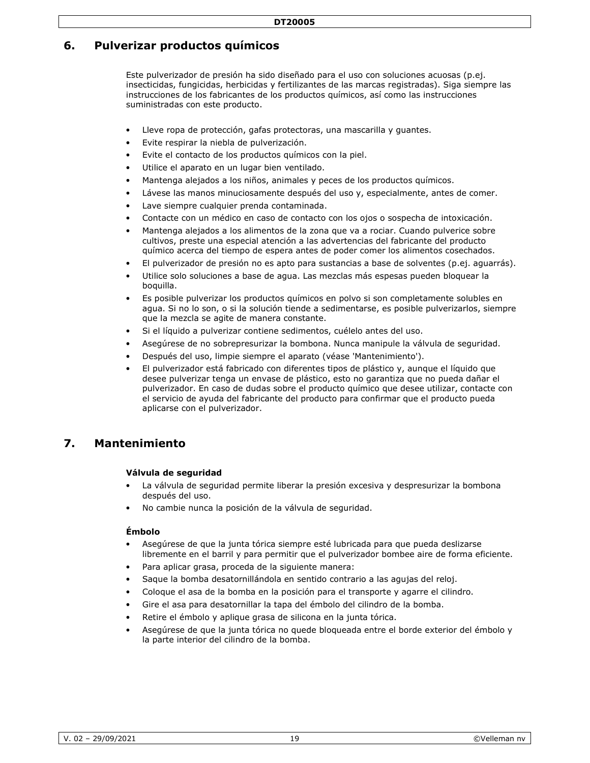# **6. Pulverizar productos químicos**

Este pulverizador de presión ha sido diseñado para el uso con soluciones acuosas (p.ej. insecticidas, fungicidas, herbicidas y fertilizantes de las marcas registradas). Siga siempre las instrucciones de los fabricantes de los productos químicos, así como las instrucciones suministradas con este producto.

- Lleve ropa de protección, gafas protectoras, una mascarilla y quantes.
- Evite respirar la niebla de pulverización.
- Evite el contacto de los productos químicos con la piel.
- Utilice el aparato en un lugar bien ventilado.
- Mantenga alejados a los niños, animales y peces de los productos químicos.
- Lávese las manos minuciosamente después del uso y, especialmente, antes de comer.
- Lave siempre cualquier prenda contaminada.
- Contacte con un médico en caso de contacto con los ojos o sospecha de intoxicación.
- Mantenga alejados a los alimentos de la zona que va a rociar. Cuando pulverice sobre cultivos, preste una especial atención a las advertencias del fabricante del producto químico acerca del tiempo de espera antes de poder comer los alimentos cosechados.
- El pulverizador de presión no es apto para sustancias a base de solventes (p.ej. aguarrás).
- Utilice solo soluciones a base de agua. Las mezclas más espesas pueden bloquear la boquilla.
- Es posible pulverizar los productos químicos en polvo si son completamente solubles en agua. Si no lo son, o si la solución tiende a sedimentarse, es posible pulverizarlos, siempre que la mezcla se agite de manera constante.
- Si el líquido a pulverizar contiene sedimentos, cuélelo antes del uso.
- Asegúrese de no sobrepresurizar la bombona. Nunca manipule la válvula de seguridad.
- Después del uso, limpie siempre el aparato (véase 'Mantenimiento').
- El pulverizador está fabricado con diferentes tipos de plástico y, aunque el líquido que desee pulverizar tenga un envase de plástico, esto no garantiza que no pueda dañar el pulverizador. En caso de dudas sobre el producto químico que desee utilizar, contacte con el servicio de ayuda del fabricante del producto para confirmar que el producto pueda aplicarse con el pulverizador.

## **7. Mantenimiento**

### **Válvula de seguridad**

- La válvula de seguridad permite liberar la presión excesiva y despresurizar la bombona después del uso.
- No cambie nunca la posición de la válvula de seguridad.

### **Émbolo**

- Asegúrese de que la junta tórica siempre esté lubricada para que pueda deslizarse libremente en el barril y para permitir que el pulverizador bombee aire de forma eficiente.
- Para aplicar grasa, proceda de la siguiente manera:
- Saque la bomba desatornillándola en sentido contrario a las agujas del reloj.
- Coloque el asa de la bomba en la posición para el transporte y agarre el cilindro.
- Gire el asa para desatornillar la tapa del émbolo del cilindro de la bomba.
- Retire el émbolo y aplique grasa de silicona en la junta tórica.
- Asegúrese de que la junta tórica no quede bloqueada entre el borde exterior del émbolo y la parte interior del cilindro de la bomba.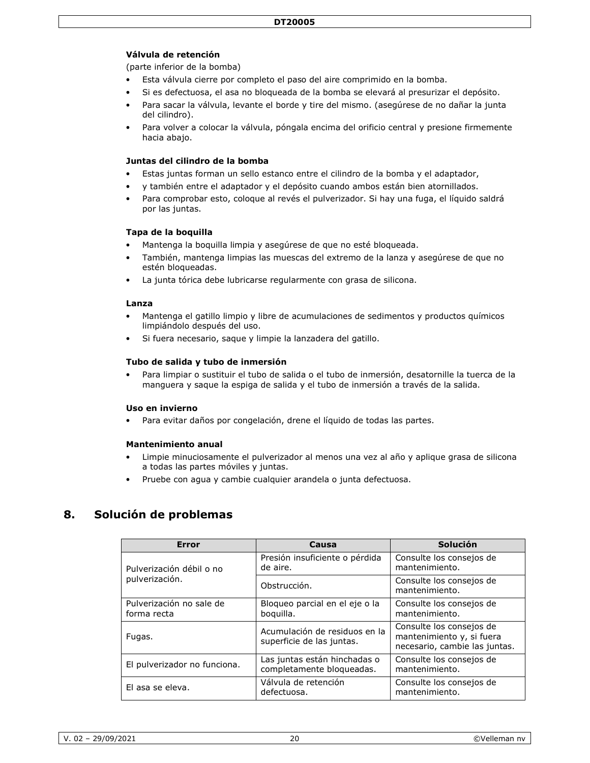### **Válvula de retención**

(parte inferior de la bomba)

- Esta válvula cierre por completo el paso del aire comprimido en la bomba.
- Si es defectuosa, el asa no bloqueada de la bomba se elevará al presurizar el depósito.
- Para sacar la válvula, levante el borde y tire del mismo. (asegúrese de no dañar la junta del cilindro).
- Para volver a colocar la válvula, póngala encima del orificio central y presione firmemente hacia abajo.

### **Juntas del cilindro de la bomba**

- Estas juntas forman un sello estanco entre el cilindro de la bomba y el adaptador,
- y también entre el adaptador y el depósito cuando ambos están bien atornillados.
- Para comprobar esto, coloque al revés el pulverizador. Si hay una fuga, el líquido saldrá por las juntas.

### **Tapa de la boquilla**

- Mantenga la boquilla limpia y asegúrese de que no esté bloqueada.
- También, mantenga limpias las muescas del extremo de la lanza y asegúrese de que no estén bloqueadas.
- La junta tórica debe lubricarse regularmente con grasa de silicona.

#### **Lanza**

- Mantenga el gatillo limpio y libre de acumulaciones de sedimentos y productos químicos limpiándolo después del uso.
- Si fuera necesario, saque y limpie la lanzadera del gatillo.

### **Tubo de salida y tubo de inmersión**

• Para limpiar o sustituir el tubo de salida o el tubo de inmersión, desatornille la tuerca de la manguera y saque la espiga de salida y el tubo de inmersión a través de la salida.

#### **Uso en invierno**

• Para evitar daños por congelación, drene el líquido de todas las partes.

#### **Mantenimiento anual**

- Limpie minuciosamente el pulverizador al menos una vez al año y aplique grasa de silicona a todas las partes móviles y juntas.
- Pruebe con agua y cambie cualquier arandela o junta defectuosa.

### **8. Solución de problemas**

| <b>Error</b>                            | Causa                                                      | Solución                                                                               |
|-----------------------------------------|------------------------------------------------------------|----------------------------------------------------------------------------------------|
| Pulverización débil o no                | Presión insuficiente o pérdida<br>de aire.                 | Consulte los consejos de<br>mantenimiento.                                             |
| pulverización.                          | Obstrucción.                                               | Consulte los consejos de<br>mantenimiento.                                             |
| Pulverización no sale de<br>forma recta | Bloqueo parcial en el eje o la<br>boquilla.                | Consulte los consejos de<br>mantenimiento.                                             |
| Fugas.                                  | Acumulación de residuos en la<br>superficie de las juntas. | Consulte los consejos de<br>mantenimiento y, si fuera<br>necesario, cambie las juntas. |
| El pulverizador no funciona.            | Las juntas están hinchadas o<br>completamente bloqueadas.  | Consulte los consejos de<br>mantenimiento.                                             |
| El asa se eleva.                        | Válvula de retención<br>defectuosa.                        | Consulte los consejos de<br>mantenimiento.                                             |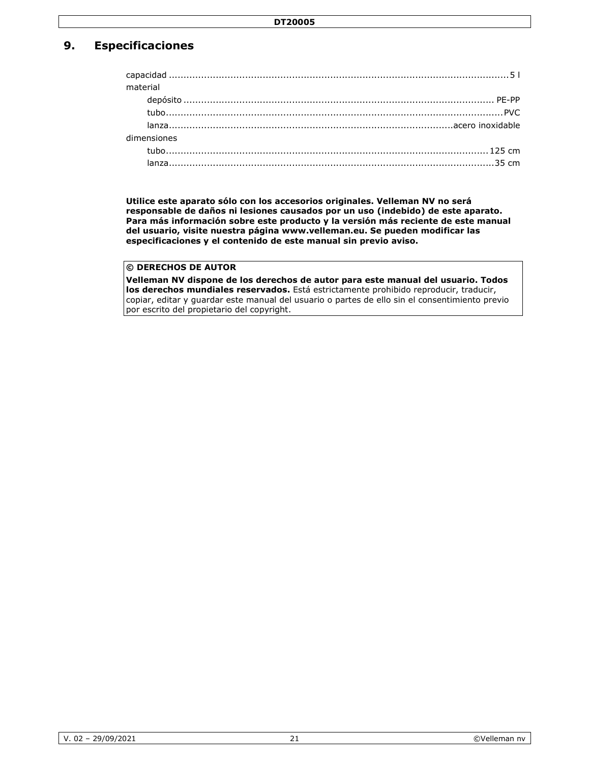# **9. Especificaciones**

| material |             |  |
|----------|-------------|--|
|          |             |  |
|          |             |  |
|          |             |  |
|          | dimensiones |  |
|          |             |  |
|          |             |  |

**Utilice este aparato sólo con los accesorios originales. Velleman NV no será responsable de daños ni lesiones causados por un uso (indebido) de este aparato. Para más información sobre este producto y la versión más reciente de este manual del usuario, visite nuestra página www.velleman.eu. Se pueden modificar las especificaciones y el contenido de este manual sin previo aviso.** 

### **© DERECHOS DE AUTOR**

**Velleman NV dispone de los derechos de autor para este manual del usuario. Todos los derechos mundiales reservados.** Está estrictamente prohibido reproducir, traducir, copiar, editar y guardar este manual del usuario o partes de ello sin el consentimiento previo por escrito del propietario del copyright.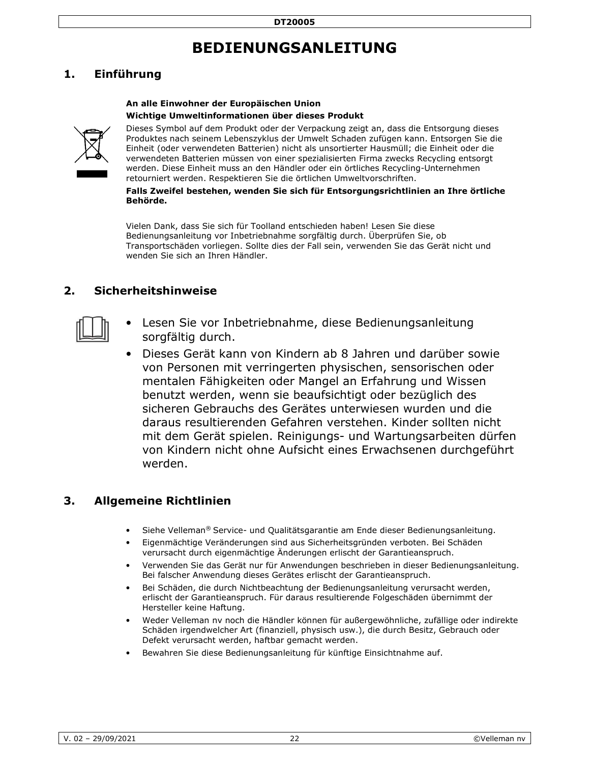# **BEDIENUNGSANLEITUNG**

# **1. Einführung**

### **An alle Einwohner der Europäischen Union Wichtige Umweltinformationen über dieses Produkt**



Dieses Symbol auf dem Produkt oder der Verpackung zeigt an, dass die Entsorgung dieses Produktes nach seinem Lebenszyklus der Umwelt Schaden zufügen kann. Entsorgen Sie die Einheit (oder verwendeten Batterien) nicht als unsortierter Hausmüll; die Einheit oder die verwendeten Batterien müssen von einer spezialisierten Firma zwecks Recycling entsorgt werden. Diese Einheit muss an den Händler oder ein örtliches Recycling-Unternehmen retourniert werden. Respektieren Sie die örtlichen Umweltvorschriften.

### **Falls Zweifel bestehen, wenden Sie sich für Entsorgungsrichtlinien an Ihre örtliche Behörde.**

Vielen Dank, dass Sie sich für Toolland entschieden haben! Lesen Sie diese Bedienungsanleitung vor Inbetriebnahme sorgfältig durch. Überprüfen Sie, ob Transportschäden vorliegen. Sollte dies der Fall sein, verwenden Sie das Gerät nicht und wenden Sie sich an Ihren Händler.

## **2. Sicherheitshinweise**



- Lesen Sie vor Inbetriebnahme, diese Bedienungsanleitung sorgfältig durch.
- Dieses Gerät kann von Kindern ab 8 Jahren und darüber sowie von Personen mit verringerten physischen, sensorischen oder mentalen Fähigkeiten oder Mangel an Erfahrung und Wissen benutzt werden, wenn sie beaufsichtigt oder bezüglich des sicheren Gebrauchs des Gerätes unterwiesen wurden und die daraus resultierenden Gefahren verstehen. Kinder sollten nicht mit dem Gerät spielen. Reinigungs- und Wartungsarbeiten dürfen von Kindern nicht ohne Aufsicht eines Erwachsenen durchgeführt werden.

# **3. Allgemeine Richtlinien**

- Siehe Velleman® Service- und Qualitätsgarantie am Ende dieser Bedienungsanleitung.
- Eigenmächtige Veränderungen sind aus Sicherheitsgründen verboten. Bei Schäden verursacht durch eigenmächtige Änderungen erlischt der Garantieanspruch.
- Verwenden Sie das Gerät nur für Anwendungen beschrieben in dieser Bedienungsanleitung. Bei falscher Anwendung dieses Gerätes erlischt der Garantieanspruch.
- Bei Schäden, die durch Nichtbeachtung der Bedienungsanleitung verursacht werden, erlischt der Garantieanspruch. Für daraus resultierende Folgeschäden übernimmt der Hersteller keine Haftung.
- Weder Velleman nv noch die Händler können für außergewöhnliche, zufällige oder indirekte Schäden irgendwelcher Art (finanziell, physisch usw.), die durch Besitz, Gebrauch oder Defekt verursacht werden, haftbar gemacht werden.
- Bewahren Sie diese Bedienungsanleitung für künftige Einsichtnahme auf.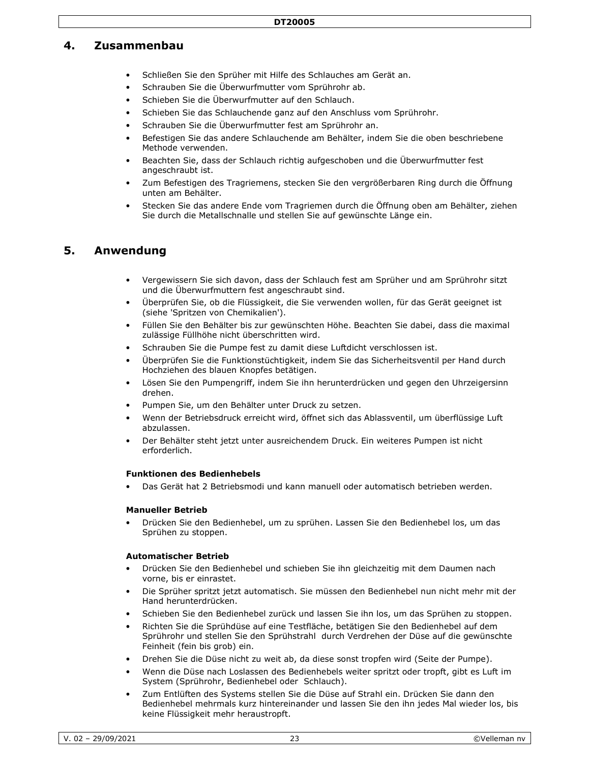### **4. Zusammenbau**

- Schließen Sie den Sprüher mit Hilfe des Schlauches am Gerät an.
- Schrauben Sie die Überwurfmutter vom Sprührohr ab.
- Schieben Sie die Überwurfmutter auf den Schlauch.
- Schieben Sie das Schlauchende ganz auf den Anschluss vom Sprührohr.
- Schrauben Sie die Überwurfmutter fest am Sprührohr an.
- Befestigen Sie das andere Schlauchende am Behälter, indem Sie die oben beschriebene Methode verwenden.
- Beachten Sie, dass der Schlauch richtig aufgeschoben und die Überwurfmutter fest angeschraubt ist.
- Zum Befestigen des Tragriemens, stecken Sie den vergrößerbaren Ring durch die Öffnung unten am Behälter.
- Stecken Sie das andere Ende vom Tragriemen durch die Öffnung oben am Behälter, ziehen Sie durch die Metallschnalle und stellen Sie auf gewünschte Länge ein.

### **5. Anwendung**

- Vergewissern Sie sich davon, dass der Schlauch fest am Sprüher und am Sprührohr sitzt und die Überwurfmuttern fest angeschraubt sind.
- Überprüfen Sie, ob die Flüssigkeit, die Sie verwenden wollen, für das Gerät geeignet ist (siehe 'Spritzen von Chemikalien').
- Füllen Sie den Behälter bis zur gewünschten Höhe. Beachten Sie dabei, dass die maximal zulässige Füllhöhe nicht überschritten wird.
- Schrauben Sie die Pumpe fest zu damit diese Luftdicht verschlossen ist.
- Überprüfen Sie die Funktionstüchtigkeit, indem Sie das Sicherheitsventil per Hand durch Hochziehen des blauen Knopfes betätigen.
- Lösen Sie den Pumpengriff, indem Sie ihn herunterdrücken und gegen den Uhrzeigersinn drehen.
- Pumpen Sie, um den Behälter unter Druck zu setzen.
- Wenn der Betriebsdruck erreicht wird, öffnet sich das Ablassventil, um überflüssige Luft abzulassen.
- Der Behälter steht jetzt unter ausreichendem Druck. Ein weiteres Pumpen ist nicht erforderlich.

#### **Funktionen des Bedienhebels**

• Das Gerät hat 2 Betriebsmodi und kann manuell oder automatisch betrieben werden.

#### **Manueller Betrieb**

• Drücken Sie den Bedienhebel, um zu sprühen. Lassen Sie den Bedienhebel los, um das Sprühen zu stoppen.

#### **Automatischer Betrieb**

- Drücken Sie den Bedienhebel und schieben Sie ihn gleichzeitig mit dem Daumen nach vorne, bis er einrastet.
- Die Sprüher spritzt jetzt automatisch. Sie müssen den Bedienhebel nun nicht mehr mit der Hand herunterdrücken.
- Schieben Sie den Bedienhebel zurück und lassen Sie ihn los, um das Sprühen zu stoppen.
- Richten Sie die Sprühdüse auf eine Testfläche, betätigen Sie den Bedienhebel auf dem Sprührohr und stellen Sie den Sprühstrahl durch Verdrehen der Düse auf die gewünschte Feinheit (fein bis grob) ein.
- Drehen Sie die Düse nicht zu weit ab, da diese sonst tropfen wird (Seite der Pumpe).
- Wenn die Düse nach Loslassen des Bedienhebels weiter spritzt oder tropft, gibt es Luft im System (Sprührohr, Bedienhebel oder Schlauch).
- Zum Entlüften des Systems stellen Sie die Düse auf Strahl ein. Drücken Sie dann den Bedienhebel mehrmals kurz hintereinander und lassen Sie den ihn jedes Mal wieder los, bis keine Flüssigkeit mehr heraustropft.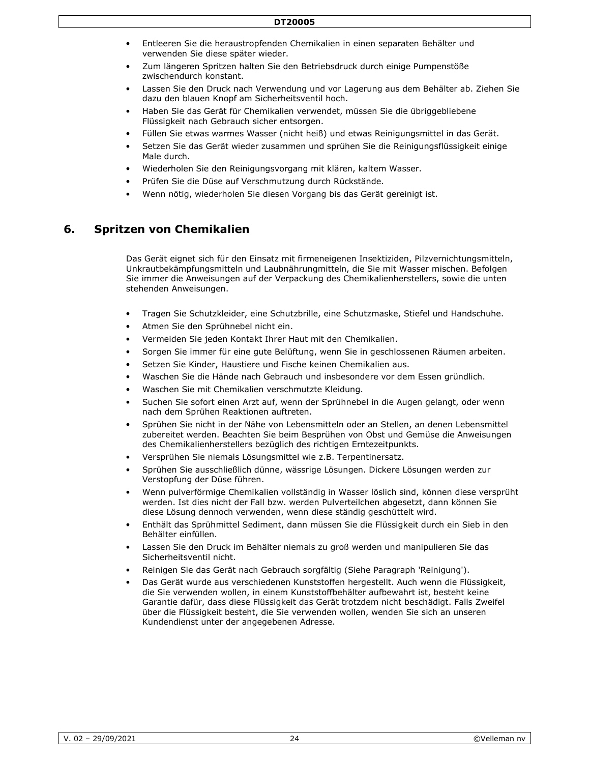- Entleeren Sie die heraustropfenden Chemikalien in einen separaten Behälter und verwenden Sie diese später wieder.
- Zum längeren Spritzen halten Sie den Betriebsdruck durch einige Pumpenstöße zwischendurch konstant.
- Lassen Sie den Druck nach Verwendung und vor Lagerung aus dem Behälter ab. Ziehen Sie dazu den blauen Knopf am Sicherheitsventil hoch.
- Haben Sie das Gerät für Chemikalien verwendet, müssen Sie die übriggebliebene Flüssigkeit nach Gebrauch sicher entsorgen.
- Füllen Sie etwas warmes Wasser (nicht heiß) und etwas Reinigungsmittel in das Gerät.
- Setzen Sie das Gerät wieder zusammen und sprühen Sie die Reinigungsflüssigkeit einige Male durch.
- Wiederholen Sie den Reinigungsvorgang mit klären, kaltem Wasser.
- Prüfen Sie die Düse auf Verschmutzung durch Rückstände.
- Wenn nötig, wiederholen Sie diesen Vorgang bis das Gerät gereinigt ist.

### **6. Spritzen von Chemikalien**

Das Gerät eignet sich für den Einsatz mit firmeneigenen Insektiziden, Pilzvernichtungsmitteln, Unkrautbekämpfungsmitteln und Laubnährungmitteln, die Sie mit Wasser mischen. Befolgen Sie immer die Anweisungen auf der Verpackung des Chemikalienherstellers, sowie die unten stehenden Anweisungen.

- Tragen Sie Schutzkleider, eine Schutzbrille, eine Schutzmaske, Stiefel und Handschuhe.
- Atmen Sie den Sprühnebel nicht ein.
- Vermeiden Sie jeden Kontakt Ihrer Haut mit den Chemikalien.
- Sorgen Sie immer für eine gute Belüftung, wenn Sie in geschlossenen Räumen arbeiten.
- Setzen Sie Kinder, Haustiere und Fische keinen Chemikalien aus.
- Waschen Sie die Hände nach Gebrauch und insbesondere vor dem Essen gründlich.
- Waschen Sie mit Chemikalien verschmutzte Kleidung.
- Suchen Sie sofort einen Arzt auf, wenn der Sprühnebel in die Augen gelangt, oder wenn nach dem Sprühen Reaktionen auftreten.
- Sprühen Sie nicht in der Nähe von Lebensmitteln oder an Stellen, an denen Lebensmittel zubereitet werden. Beachten Sie beim Besprühen von Obst und Gemüse die Anweisungen des Chemikalienherstellers bezüglich des richtigen Erntezeitpunkts.
- Versprühen Sie niemals Lösungsmittel wie z.B. Terpentinersatz.
- Sprühen Sie ausschließlich dünne, wässrige Lösungen. Dickere Lösungen werden zur Verstopfung der Düse führen.
- Wenn pulverförmige Chemikalien vollständig in Wasser löslich sind, können diese versprüht werden. Ist dies nicht der Fall bzw. werden Pulverteilchen abgesetzt, dann können Sie diese Lösung dennoch verwenden, wenn diese ständig geschüttelt wird.
- Enthält das Sprühmittel Sediment, dann müssen Sie die Flüssigkeit durch ein Sieb in den Behälter einfüllen.
- Lassen Sie den Druck im Behälter niemals zu groß werden und manipulieren Sie das Sicherheitsventil nicht.
- Reinigen Sie das Gerät nach Gebrauch sorgfältig (Siehe Paragraph 'Reinigung').
- Das Gerät wurde aus verschiedenen Kunststoffen hergestellt. Auch wenn die Flüssigkeit, die Sie verwenden wollen, in einem Kunststoffbehälter aufbewahrt ist, besteht keine Garantie dafür, dass diese Flüssigkeit das Gerät trotzdem nicht beschädigt. Falls Zweifel über die Flüssigkeit besteht, die Sie verwenden wollen, wenden Sie sich an unseren Kundendienst unter der angegebenen Adresse.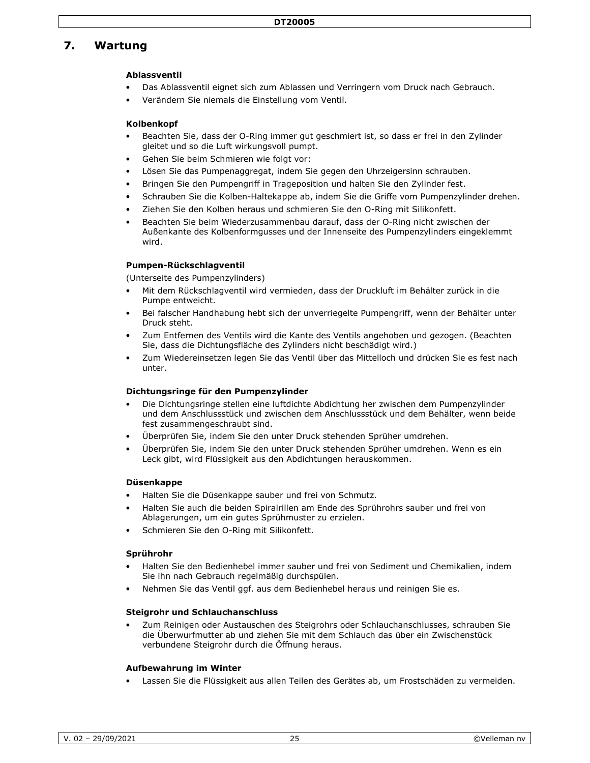# **7. Wartung**

### **Ablassventil**

- Das Ablassventil eignet sich zum Ablassen und Verringern vom Druck nach Gebrauch.
- Verändern Sie niemals die Einstellung vom Ventil.

### **Kolbenkopf**

- Beachten Sie, dass der O-Ring immer gut geschmiert ist, so dass er frei in den Zylinder gleitet und so die Luft wirkungsvoll pumpt.
- Gehen Sie beim Schmieren wie folgt vor:
- Lösen Sie das Pumpenaggregat, indem Sie gegen den Uhrzeigersinn schrauben.
- Bringen Sie den Pumpengriff in Trageposition und halten Sie den Zylinder fest.
- Schrauben Sie die Kolben-Haltekappe ab, indem Sie die Griffe vom Pumpenzylinder drehen.
- Ziehen Sie den Kolben heraus und schmieren Sie den O-Ring mit Silikonfett.
- Beachten Sie beim Wiederzusammenbau darauf, dass der O-Ring nicht zwischen der Außenkante des Kolbenformgusses und der Innenseite des Pumpenzylinders eingeklemmt wird.

### **Pumpen-Rückschlagventil**

(Unterseite des Pumpenzylinders)

- Mit dem Rückschlagventil wird vermieden, dass der Druckluft im Behälter zurück in die Pumpe entweicht.
- Bei falscher Handhabung hebt sich der unverriegelte Pumpengriff, wenn der Behälter unter Druck steht.
- Zum Entfernen des Ventils wird die Kante des Ventils angehoben und gezogen. (Beachten Sie, dass die Dichtungsfläche des Zylinders nicht beschädigt wird.)
- Zum Wiedereinsetzen legen Sie das Ventil über das Mittelloch und drücken Sie es fest nach unter.

#### **Dichtungsringe für den Pumpenzylinder**

- Die Dichtungsringe stellen eine luftdichte Abdichtung her zwischen dem Pumpenzylinder und dem Anschlussstück und zwischen dem Anschlussstück und dem Behälter, wenn beide fest zusammengeschraubt sind.
- Überprüfen Sie, indem Sie den unter Druck stehenden Sprüher umdrehen.
- Überprüfen Sie, indem Sie den unter Druck stehenden Sprüher umdrehen. Wenn es ein Leck gibt, wird Flüssigkeit aus den Abdichtungen herauskommen.

#### **Düsenkappe**

- Halten Sie die Düsenkappe sauber und frei von Schmutz.
- Halten Sie auch die beiden Spiralrillen am Ende des Sprührohrs sauber und frei von Ablagerungen, um ein gutes Sprühmuster zu erzielen.
- Schmieren Sie den O-Ring mit Silikonfett.

### **Sprührohr**

- Halten Sie den Bedienhebel immer sauber und frei von Sediment und Chemikalien, indem Sie ihn nach Gebrauch regelmäßig durchspülen.
- Nehmen Sie das Ventil ggf. aus dem Bedienhebel heraus und reinigen Sie es.

#### **Steigrohr und Schlauchanschluss**

• Zum Reinigen oder Austauschen des Steigrohrs oder Schlauchanschlusses, schrauben Sie die Überwurfmutter ab und ziehen Sie mit dem Schlauch das über ein Zwischenstück verbundene Steigrohr durch die Öffnung heraus.

### **Aufbewahrung im Winter**

• Lassen Sie die Flüssigkeit aus allen Teilen des Gerätes ab, um Frostschäden zu vermeiden.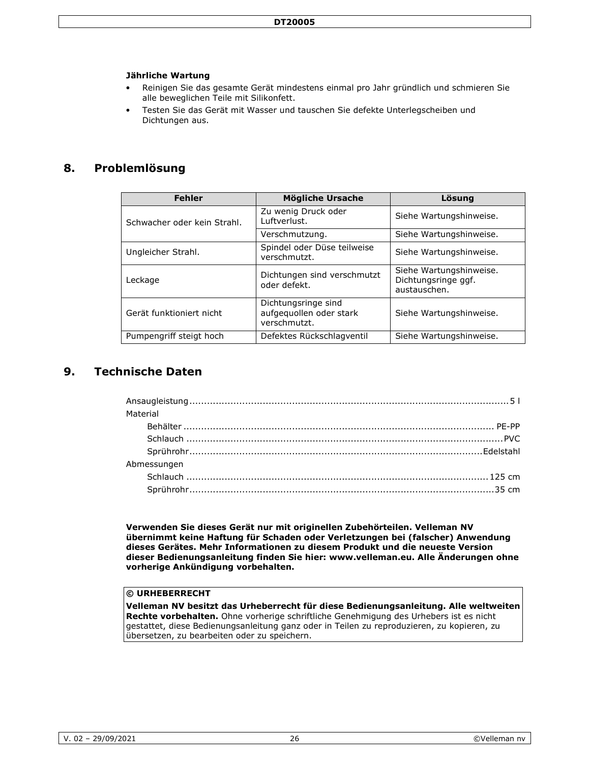### **Jährliche Wartung**

- Reinigen Sie das gesamte Gerät mindestens einmal pro Jahr gründlich und schmieren Sie alle beweglichen Teile mit Silikonfett.
- Testen Sie das Gerät mit Wasser und tauschen Sie defekte Unterlegscheiben und Dichtungen aus.

### **8. Problemlösung**

| <b>Fehler</b>               | <b>Mögliche Ursache</b>                                        | Lösung                                                         |
|-----------------------------|----------------------------------------------------------------|----------------------------------------------------------------|
| Schwacher oder kein Strahl. | Zu wenig Druck oder<br>Luftverlust.                            | Siehe Wartungshinweise.                                        |
|                             | Verschmutzung.                                                 | Siehe Wartungshinweise.                                        |
| Ungleicher Strahl.          | Spindel oder Düse teilweise<br>verschmutzt.                    | Siehe Wartungshinweise.                                        |
| Leckage                     | Dichtungen sind verschmutzt<br>oder defekt.                    | Siehe Wartungshinweise.<br>Dichtungsringe ggf.<br>austauschen. |
| Gerät funktioniert nicht    | Dichtungsringe sind<br>aufgequollen oder stark<br>verschmutzt. | Siehe Wartungshinweise.                                        |
| Pumpengriff steigt hoch     | Defektes Rückschlagventil                                      | Siehe Wartungshinweise.                                        |

# **9. Technische Daten**

| Material    |  |
|-------------|--|
|             |  |
|             |  |
|             |  |
| Abmessungen |  |
|             |  |
|             |  |
|             |  |

**Verwenden Sie dieses Gerät nur mit originellen Zubehörteilen. Velleman NV übernimmt keine Haftung für Schaden oder Verletzungen bei (falscher) Anwendung dieses Gerätes. Mehr Informationen zu diesem Produkt und die neueste Version dieser Bedienungsanleitung finden Sie hier: www.velleman.eu. Alle Änderungen ohne vorherige Ankündigung vorbehalten.** 

### **© URHEBERRECHT**

**Velleman NV besitzt das Urheberrecht für diese Bedienungsanleitung. Alle weltweiten Rechte vorbehalten.** Ohne vorherige schriftliche Genehmigung des Urhebers ist es nicht gestattet, diese Bedienungsanleitung ganz oder in Teilen zu reproduzieren, zu kopieren, zu übersetzen, zu bearbeiten oder zu speichern.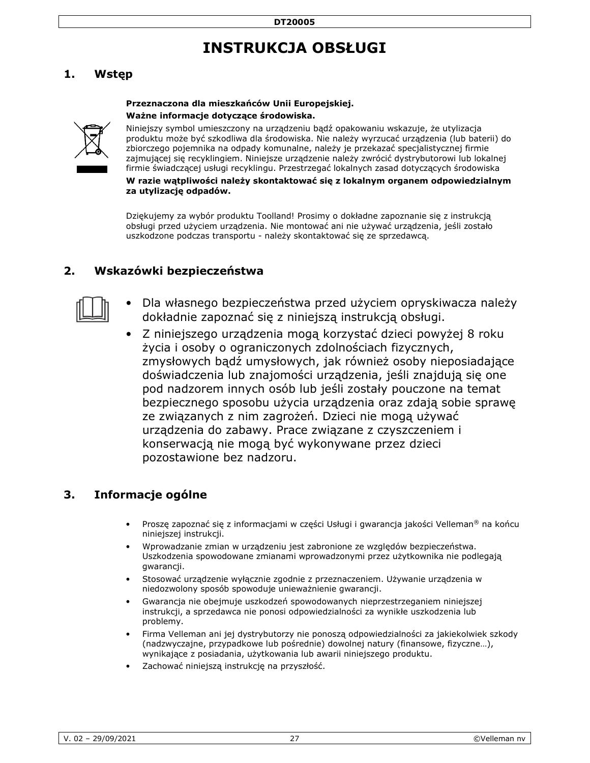# **INSTRUKCJA OBSŁUGI**

# **1. Wstęp**

### **Przeznaczona dla mieszkańców Unii Europejskiej. Ważne informacje dotyczące środowiska.**



Niniejszy symbol umieszczony na urządzeniu bądź opakowaniu wskazuje, że utylizacja produktu może być szkodliwa dla środowiska. Nie należy wyrzucać urządzenia (lub baterii) do zbiorczego pojemnika na odpady komunalne, należy je przekazać specjalistycznej firmie zajmującej się recyklingiem. Niniejsze urządzenie należy zwrócić dystrybutorowi lub lokalnej firmie świadczącej usługi recyklingu. Przestrzegać lokalnych zasad dotyczących środowiska

**W razie wątpliwości należy skontaktować się z lokalnym organem odpowiedzialnym za utylizację odpadów.** 

Dziękujemy za wybór produktu Toolland! Prosimy o dokładne zapoznanie się z instrukcją obsługi przed użyciem urządzenia. Nie montować ani nie używać urządzenia, jeśli zostało uszkodzone podczas transportu - należy skontaktować się ze sprzedawcą.

## **2. Wskazówki bezpieczeństwa**



- Dla własnego bezpieczeństwa przed użyciem opryskiwacza należy dokładnie zapoznać się z niniejszą instrukcją obsługi.
- Z niniejszego urządzenia mogą korzystać dzieci powyżej 8 roku życia i osoby o ograniczonych zdolnościach fizycznych, zmysłowych bądź umysłowych, jak również osoby nieposiadające doświadczenia lub znajomości urządzenia, jeśli znajdują się one pod nadzorem innych osób lub jeśli zostały pouczone na temat bezpiecznego sposobu użycia urządzenia oraz zdają sobie sprawę ze związanych z nim zagrożeń. Dzieci nie mogą używać urządzenia do zabawy. Prace związane z czyszczeniem i konserwacją nie mogą być wykonywane przez dzieci pozostawione bez nadzoru.

## **3. Informacje ogólne**

- Proszę zapoznać się z informacjami w części Usługi i gwarancja jakości Velleman® na końcu niniejszej instrukcji.
- Wprowadzanie zmian w urządzeniu jest zabronione ze względów bezpieczeństwa. Uszkodzenia spowodowane zmianami wprowadzonymi przez użytkownika nie podlegają gwarancji.
- Stosować urządzenie wyłącznie zgodnie z przeznaczeniem. Używanie urządzenia w niedozwolony sposób spowoduje unieważnienie gwarancji.
- Gwarancja nie obejmuje uszkodzeń spowodowanych nieprzestrzeganiem niniejszej instrukcji, a sprzedawca nie ponosi odpowiedzialności za wynikłe uszkodzenia lub problemy.
- Firma Velleman ani jej dystrybutorzy nie ponoszą odpowiedzialności za jakiekolwiek szkody (nadzwyczajne, przypadkowe lub pośrednie) dowolnej natury (finansowe, fizyczne…), wynikające z posiadania, użytkowania lub awarii niniejszego produktu.
- Zachować niniejszą instrukcję na przyszłość.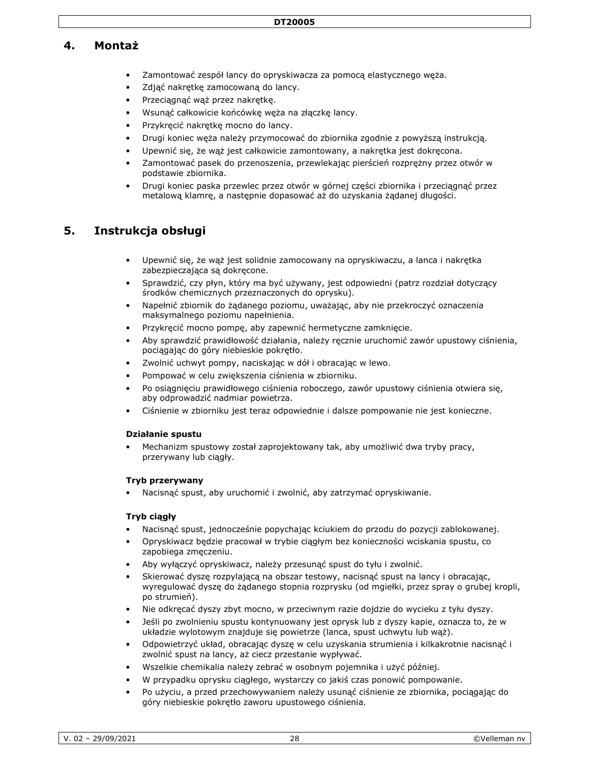### **4. Montaż**

- Zamontować zespół lancy do opryskiwacza za pomocą elastycznego węża.
- Zdjąć nakrętkę zamocowaną do lancy.
- Przeciągnąć wąż przez nakrętkę.
- Wsunąć całkowicie końcówkę węża na złączkę lancy.
- Przykręcić nakrętkę mocno do lancy.
- Drugi koniec węża należy przymocować do zbiornika zgodnie z powyższą instrukcją.
- Upewnić się, że wąż jest całkowicie zamontowany, a nakrętka jest dokręcona.
- Zamontować pasek do przenoszenia, przewlekając pierścień rozprężny przez otwór w podstawie zbiornika.
- Drugi koniec paska przewlec przez otwór w górnej części zbiornika i przeciągnąć przez metalową klamrę, a następnie dopasować aż do uzyskania żądanej długości.

## **5. Instrukcja obsługi**

- Upewnić się, że wąż jest solidnie zamocowany na opryskiwaczu, a lanca i nakrętka zabezpieczająca są dokręcone.
- Sprawdzić, czy płyn, który ma być używany, jest odpowiedni (patrz rozdział dotyczący środków chemicznych przeznaczonych do oprysku).
- Napełnić zbiornik do żądanego poziomu, uważając, aby nie przekroczyć oznaczenia maksymalnego poziomu napełnienia.
- Przykręcić mocno pompę, aby zapewnić hermetyczne zamknięcie.
- Aby sprawdzić prawidłowość działania, należy ręcznie uruchomić zawór upustowy ciśnienia, pociągając do góry niebieskie pokrętło.
- Zwolnić uchwyt pompy, naciskając w dół i obracając w lewo.
- Pompować w celu zwiększenia ciśnienia w zbiorniku.
- Po osiągnięciu prawidłowego ciśnienia roboczego, zawór upustowy ciśnienia otwiera się, aby odprowadzić nadmiar powietrza.
- Ciśnienie w zbiorniku jest teraz odpowiednie i dalsze pompowanie nie jest konieczne.

### **Działanie spustu**

• Mechanizm spustowy został zaprojektowany tak, aby umożliwić dwa tryby pracy, przerywany lub ciągły.

### **Tryb przerywany**

• Nacisnąć spust, aby uruchomić i zwolnić, aby zatrzymać opryskiwanie.

### **Tryb ciągły**

- Nacisnąć spust, jednocześnie popychając kciukiem do przodu do pozycji zablokowanej.
- Opryskiwacz będzie pracował w trybie ciągłym bez konieczności wciskania spustu, co zapobiega zmęczeniu.
- Aby wyłączyć opryskiwacz, należy przesunąć spust do tyłu i zwolnić.
- Skierować dyszę rozpylającą na obszar testowy, nacisnąć spust na lancy i obracając, wyregulować dyszę do żądanego stopnia rozprysku (od mgiełki, przez spray o grubej kropli, po strumień).
- Nie odkręcać dyszy zbyt mocno, w przeciwnym razie dojdzie do wycieku z tyłu dyszy.
- Jeśli po zwolnieniu spustu kontynuowany jest oprysk lub z dyszy kapie, oznacza to, że w układzie wylotowym znajduje się powietrze (lanca, spust uchwytu lub wąż).
- Odpowietrzyć układ, obracając dyszę w celu uzyskania strumienia i kilkakrotnie nacisnąć i zwolnić spust na lancy, aż ciecz przestanie wypływać.
- Wszelkie chemikalia należy zebrać w osobnym pojemnika i użyć później.
- W przypadku oprysku ciągłego, wystarczy co jakiś czas ponowić pompowanie.
- Po użyciu, a przed przechowywaniem należy usunąć ciśnienie ze zbiornika, pociągając do góry niebieskie pokrętło zaworu upustowego ciśnienia.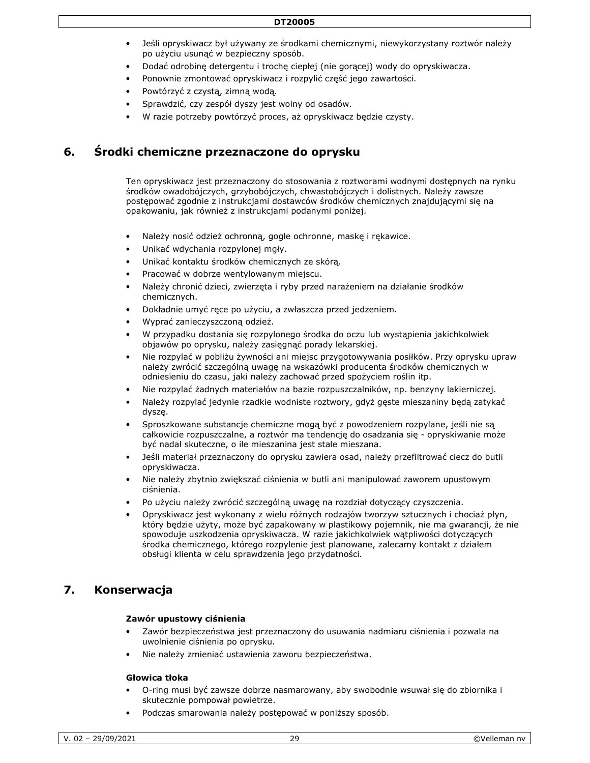- Jeśli opryskiwacz był używany ze środkami chemicznymi, niewykorzystany roztwór należy po użyciu usunąć w bezpieczny sposób.
- Dodać odrobinę detergentu i trochę ciepłej (nie gorącej) wody do opryskiwacza.
- Ponownie zmontować opryskiwacz i rozpylić część jego zawartości.
- Powtórzyć z czystą, zimną wodą.
- Sprawdzić, czy zespół dyszy jest wolny od osadów.
- W razie potrzeby powtórzyć proces, aż opryskiwacz będzie czysty.

### **6. Środki chemiczne przeznaczone do oprysku**

Ten opryskiwacz jest przeznaczony do stosowania z roztworami wodnymi dostępnych na rynku środków owadobójczych, grzybobójczych, chwastobójczych i dolistnych. Należy zawsze postępować zgodnie z instrukcjami dostawców środków chemicznych znajdującymi się na opakowaniu, jak również z instrukcjami podanymi poniżej.

- Należy nosić odzież ochronną, gogle ochronne, maskę i rękawice.
- Unikać wdychania rozpylonej mgły.
- Unikać kontaktu środków chemicznych ze skórą.
- Pracować w dobrze wentylowanym miejscu.
- Należy chronić dzieci, zwierzęta i ryby przed narażeniem na działanie środków chemicznych.
- Dokładnie umyć ręce po użyciu, a zwłaszcza przed jedzeniem.
- Wyprać zanieczyszczoną odzież.
- W przypadku dostania się rozpylonego środka do oczu lub wystąpienia jakichkolwiek objawów po oprysku, należy zasięgnąć porady lekarskiej.
- Nie rozpylać w pobliżu żywności ani miejsc przygotowywania posiłków. Przy oprysku upraw należy zwrócić szczególną uwagę na wskazówki producenta środków chemicznych w odniesieniu do czasu, jaki należy zachować przed spożyciem roślin itp.
- Nie rozpylać żadnych materiałów na bazie rozpuszczalników, np. benzyny lakierniczej.
- Należy rozpylać jedynie rzadkie wodniste roztwory, gdyż gęste mieszaniny będą zatykać dyszę.
- Sproszkowane substancje chemiczne mogą być z powodzeniem rozpylane, jeśli nie są całkowicie rozpuszczalne, a roztwór ma tendencję do osadzania się - opryskiwanie może być nadal skuteczne, o ile mieszanina jest stale mieszana.
- Jeśli materiał przeznaczony do oprysku zawiera osad, należy przefiltrować ciecz do butli opryskiwacza.
- Nie należy zbytnio zwiększać ciśnienia w butli ani manipulować zaworem upustowym ciśnienia.
- Po użyciu należy zwrócić szczególną uwagę na rozdział dotyczący czyszczenia.
- Opryskiwacz jest wykonany z wielu różnych rodzajów tworzyw sztucznych i chociaż płyn, który będzie użyty, może być zapakowany w plastikowy pojemnik, nie ma gwarancji, że nie spowoduje uszkodzenia opryskiwacza. W razie jakichkolwiek wątpliwości dotyczących środka chemicznego, którego rozpylenie jest planowane, zalecamy kontakt z działem obsługi klienta w celu sprawdzenia jego przydatności.

### **7. Konserwacja**

#### **Zawór upustowy ciśnienia**

- Zawór bezpieczeństwa jest przeznaczony do usuwania nadmiaru ciśnienia i pozwala na uwolnienie ciśnienia po oprysku.
- Nie należy zmieniać ustawienia zaworu bezpieczeństwa.

### **Głowica tłoka**

- O-ring musi być zawsze dobrze nasmarowany, aby swobodnie wsuwał się do zbiornika i skutecznie pompował powietrze.
- Podczas smarowania należy postępować w poniższy sposób.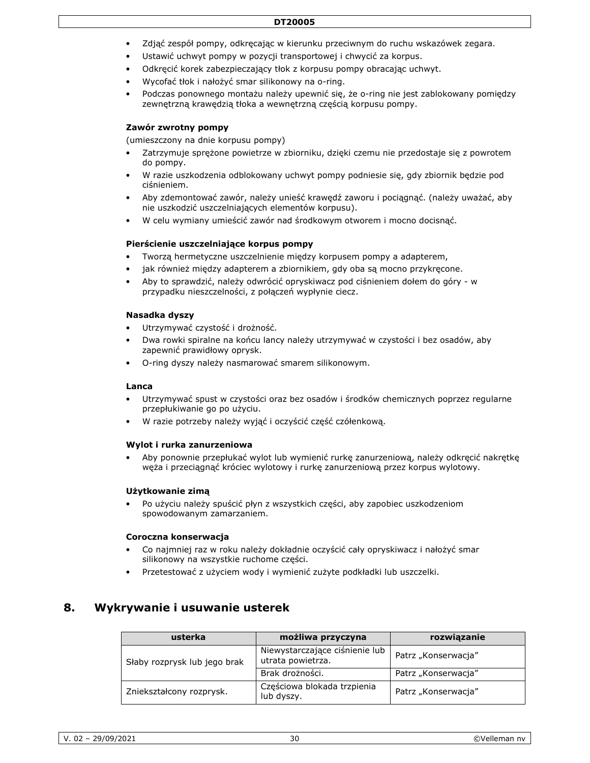#### **DT20005**

- Zdjąć zespół pompy, odkręcając w kierunku przeciwnym do ruchu wskazówek zegara.
- Ustawić uchwyt pompy w pozycji transportowej i chwycić za korpus.
- Odkręcić korek zabezpieczający tłok z korpusu pompy obracając uchwyt.
- Wycofać tłok i nałożyć smar silikonowy na o-ring.
- Podczas ponownego montażu należy upewnić się, że o-ring nie jest zablokowany pomiędzy zewnętrzną krawędzią tłoka a wewnętrzną częścią korpusu pompy.

### **Zawór zwrotny pompy**

(umieszczony na dnie korpusu pompy)

- Zatrzymuje sprężone powietrze w zbiorniku, dzięki czemu nie przedostaje się z powrotem do pompy.
- W razie uszkodzenia odblokowany uchwyt pompy podniesie się, gdy zbiornik będzie pod ciśnieniem.
- Aby zdemontować zawór, należy unieść krawędź zaworu i pociągnąć. (należy uważać, aby nie uszkodzić uszczelniających elementów korpusu).
- W celu wymiany umieścić zawór nad środkowym otworem i mocno docisnąć.

### **Pierścienie uszczelniające korpus pompy**

- Tworzą hermetyczne uszczelnienie między korpusem pompy a adapterem,
- jak również między adapterem a zbiornikiem, gdy oba są mocno przykręcone.
- Aby to sprawdzić, należy odwrócić opryskiwacz pod ciśnieniem dołem do góry w przypadku nieszczelności, z połączeń wypłynie ciecz.

### **Nasadka dyszy**

- Utrzymywać czystość i drożność.
- Dwa rowki spiralne na końcu lancy należy utrzymywać w czystości i bez osadów, aby zapewnić prawidłowy oprysk.
- O-ring dyszy należy nasmarować smarem silikonowym.

#### **Lanca**

- Utrzymywać spust w czystości oraz bez osadów i środków chemicznych poprzez regularne przepłukiwanie go po użyciu.
- W razie potrzeby należy wyjąć i oczyścić część czółenkową.

#### **Wylot i rurka zanurzeniowa**

• Aby ponownie przepłukać wylot lub wymienić rurkę zanurzeniową, należy odkręcić nakrętkę węża i przeciągnąć króciec wylotowy i rurkę zanurzeniową przez korpus wylotowy.

### **Użytkowanie zimą**

• Po użyciu należy spuścić płyn z wszystkich części, aby zapobiec uszkodzeniom spowodowanym zamarzaniem.

### **Coroczna konserwacja**

- Co najmniej raz w roku należy dokładnie oczyścić cały opryskiwacz i nałożyć smar silikonowy na wszystkie ruchome części.
- Przetestować z użyciem wody i wymienić zużyte podkładki lub uszczelki.

### **8. Wykrywanie i usuwanie usterek**

| usterka                      | możliwa przyczyna                                   | rozwiązanie         |
|------------------------------|-----------------------------------------------------|---------------------|
| Słaby rozprysk lub jego brak | Niewystarczające ciśnienie lub<br>utrata powietrza. | Patrz "Konserwacja" |
|                              | Brak drożności.                                     | Patrz "Konserwacja" |
| Zniekształcony rozprysk.     | Częściowa blokada trzpienia<br>lub dyszy.           | Patrz "Konserwacja" |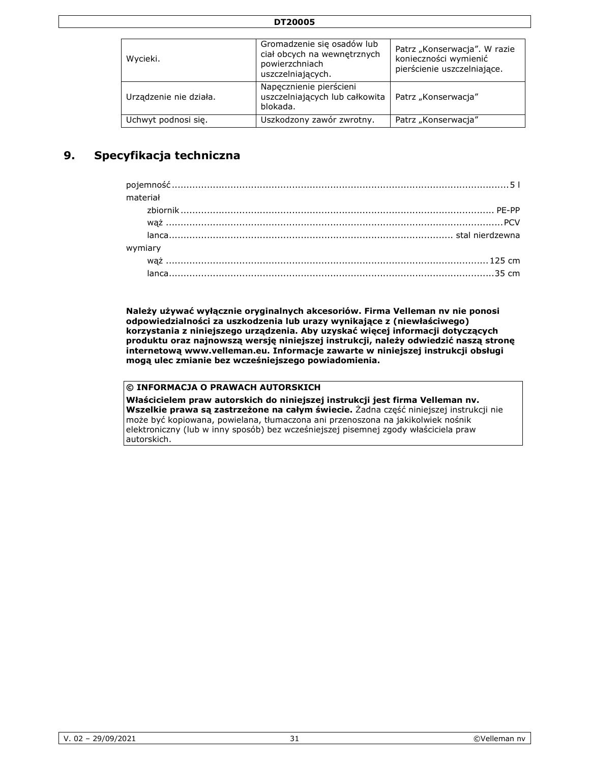| Wycieki.               | Gromadzenie się osadów lub<br>ciał obcych na wewnętrznych<br>powierzchniach<br>uszczelniających. | Patrz "Konserwacja". W razie<br>konieczności wymienić<br>pierścienie uszczelniające. |
|------------------------|--------------------------------------------------------------------------------------------------|--------------------------------------------------------------------------------------|
| Urządzenie nie działa. | Napęcznienie pierścieni<br>uszczelniających lub całkowita<br>blokada.                            | Patrz "Konserwacja"                                                                  |
| Uchwyt podnosi się.    | Uszkodzony zawór zwrotny.                                                                        | Patrz "Konserwacja"                                                                  |

 **DT20005** 

# **9. Specyfikacja techniczna**

| material |  |
|----------|--|
|          |  |
|          |  |
|          |  |
|          |  |
|          |  |
|          |  |

**Należy używać wyłącznie oryginalnych akcesoriów. Firma Velleman nv nie ponosi odpowiedzialności za uszkodzenia lub urazy wynikające z (niewłaściwego) korzystania z niniejszego urządzenia. Aby uzyskać więcej informacji dotyczących produktu oraz najnowszą wersję niniejszej instrukcji, należy odwiedzić naszą stronę internetową www.velleman.eu. Informacje zawarte w niniejszej instrukcji obsługi mogą ulec zmianie bez wcześniejszego powiadomienia.** 

### **© INFORMACJA O PRAWACH AUTORSKICH**

**Właścicielem praw autorskich do niniejszej instrukcji jest firma Velleman nv. Wszelkie prawa są zastrzeżone na całym świecie.** Żadna część niniejszej instrukcji nie może być kopiowana, powielana, tłumaczona ani przenoszona na jakikolwiek nośnik elektroniczny (lub w inny sposób) bez wcześniejszej pisemnej zgody właściciela praw autorskich.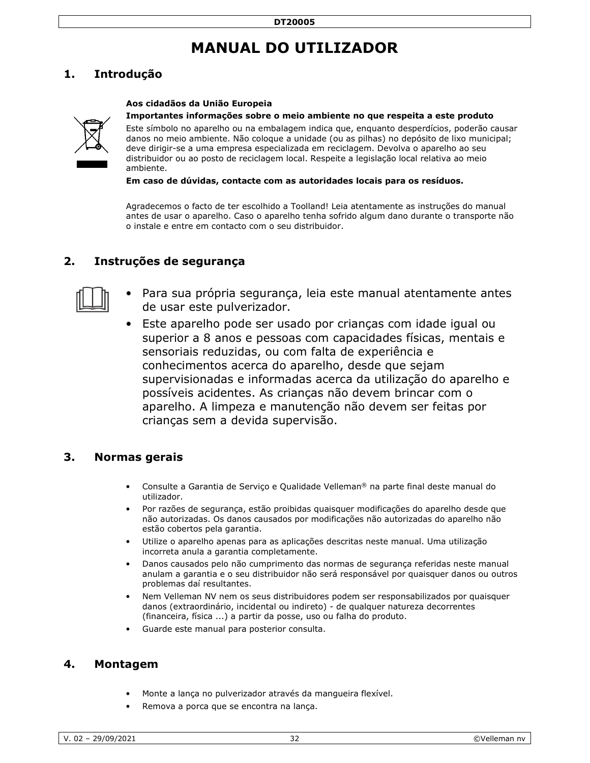# **MANUAL DO UTILIZADOR**

# **1. Introdução**

### **Aos cidadãos da União Europeia**



#### **Importantes informações sobre o meio ambiente no que respeita a este produto**

Este símbolo no aparelho ou na embalagem indica que, enquanto desperdícios, poderão causar danos no meio ambiente. Não coloque a unidade (ou as pilhas) no depósito de lixo municipal; deve dirigir-se a uma empresa especializada em reciclagem. Devolva o aparelho ao seu distribuidor ou ao posto de reciclagem local. Respeite a legislação local relativa ao meio ambiente.

**Em caso de dúvidas, contacte com as autoridades locais para os resíduos.** 

Agradecemos o facto de ter escolhido a Toolland! Leia atentamente as instruções do manual antes de usar o aparelho. Caso o aparelho tenha sofrido algum dano durante o transporte não o instale e entre em contacto com o seu distribuidor.

## **2. Instruções de segurança**



- Para sua própria segurança, leia este manual atentamente antes de usar este pulverizador.
- Este aparelho pode ser usado por crianças com idade igual ou superior a 8 anos e pessoas com capacidades físicas, mentais e sensoriais reduzidas, ou com falta de experiência e conhecimentos acerca do aparelho, desde que sejam supervisionadas e informadas acerca da utilização do aparelho e possíveis acidentes. As crianças não devem brincar com o aparelho. A limpeza e manutenção não devem ser feitas por crianças sem a devida supervisão.

### **3. Normas gerais**

- Consulte a Garantia de Serviço e Qualidade Velleman® na parte final deste manual do utilizador.
- Por razões de segurança, estão proibidas quaisquer modificações do aparelho desde que não autorizadas. Os danos causados por modificações não autorizadas do aparelho não estão cobertos pela garantia.
- Utilize o aparelho apenas para as aplicações descritas neste manual. Uma utilização incorreta anula a garantia completamente.
- Danos causados pelo não cumprimento das normas de segurança referidas neste manual anulam a garantia e o seu distribuidor não será responsável por quaisquer danos ou outros problemas daí resultantes.
- Nem Velleman NV nem os seus distribuidores podem ser responsabilizados por quaisquer danos (extraordinário, incidental ou indireto) - de qualquer natureza decorrentes (financeira, física ...) a partir da posse, uso ou falha do produto.
- Guarde este manual para posterior consulta.

### **4. Montagem**

- Monte a lança no pulverizador através da mangueira flexível.
- Remova a porca que se encontra na lança.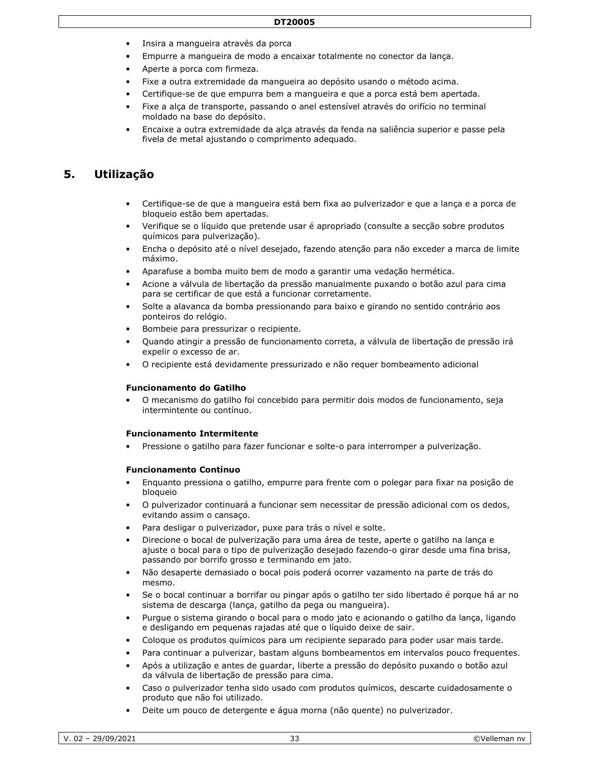- Insira a mangueira através da porca
- Empurre a mangueira de modo a encaixar totalmente no conector da lança.
- Aperte a porca com firmeza.
- Fixe a outra extremidade da mangueira ao depósito usando o método acima.
- Certifique-se de que empurra bem a mangueira e que a porca está bem apertada.
- Fixe a alça de transporte, passando o anel estensível através do orifício no terminal moldado na base do depósito.
- Encaixe a outra extremidade da alça através da fenda na saliência superior e passe pela fivela de metal ajustando o comprimento adequado.

### **5. Utilização**

- Certifique-se de que a mangueira está bem fixa ao pulverizador e que a lança e a porca de bloqueio estão bem apertadas.
- Verifique se o líquido que pretende usar é apropriado (consulte a secção sobre produtos químicos para pulverização).
- Encha o depósito até o nível desejado, fazendo atenção para não exceder a marca de limite máximo.
- Aparafuse a bomba muito bem de modo a garantir uma vedação hermética.
- Acione a válvula de libertação da pressão manualmente puxando o botão azul para cima para se certificar de que está a funcionar corretamente.
- Solte a alavanca da bomba pressionando para baixo e girando no sentido contrário aos ponteiros do relógio.
- Bombeie para pressurizar o recipiente.
- Quando atingir a pressão de funcionamento correta, a válvula de libertação de pressão irá expelir o excesso de ar.
- O recipiente está devidamente pressurizado e não requer bombeamento adicional

#### **Funcionamento do Gatilho**

• O mecanismo do gatilho foi concebido para permitir dois modos de funcionamento, seja intermintente ou contínuo.

#### **Funcionamento Intermitente**

• Pressione o gatilho para fazer funcionar e solte-o para interromper a pulverização.

#### **Funcionamento Contínuo**

- Enquanto pressiona o gatilho, empurre para frente com o polegar para fixar na posição de bloqueio
- O pulverizador continuará a funcionar sem necessitar de pressão adicional com os dedos, evitando assim o cansaço.
- Para desligar o pulverizador, puxe para trás o nível e solte.
- Direcione o bocal de pulverização para uma área de teste, aperte o gatilho na lança e ajuste o bocal para o tipo de pulverização desejado fazendo-o girar desde uma fina brisa, passando por borrifo grosso e terminando em jato.
- Não desaperte demasiado o bocal pois poderá ocorrer vazamento na parte de trás do mesmo.
- Se o bocal continuar a borrifar ou pingar após o gatilho ter sido libertado é porque há ar no sistema de descarga (lança, gatilho da pega ou mangueira).
- Purgue o sistema girando o bocal para o modo jato e acionando o gatilho da lança, ligando e desligando em pequenas rajadas até que o líquido deixe de sair.
- Coloque os produtos químicos para um recipiente separado para poder usar mais tarde.
- Para continuar a pulverizar, bastam alguns bombeamentos em intervalos pouco frequentes.
- Após a utilização e antes de guardar, liberte a pressão do depósito puxando o botão azul da válvula de libertação de pressão para cima.
- Caso o pulverizador tenha sido usado com produtos químicos, descarte cuidadosamente o produto que não foi utilizado.
- Deite um pouco de detergente e água morna (não quente) no pulverizador.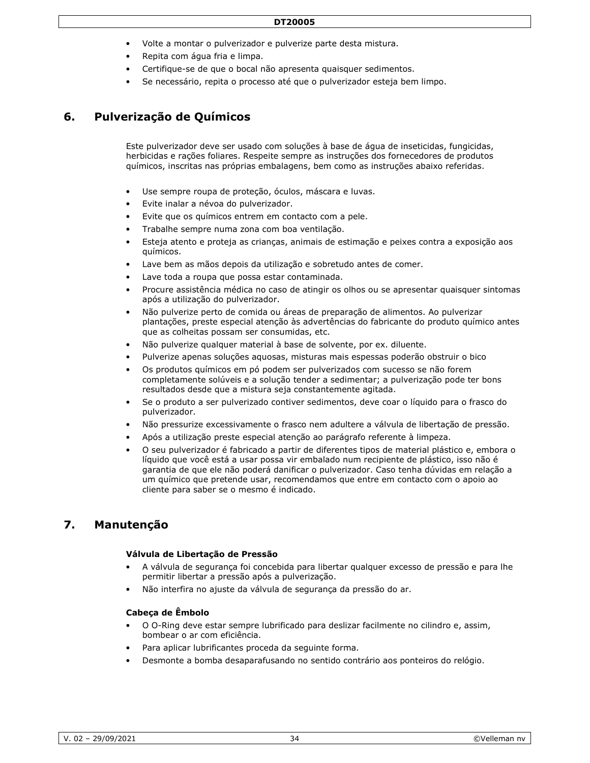- Volte a montar o pulverizador e pulverize parte desta mistura.
- Repita com água fria e limpa.
- Certifique-se de que o bocal não apresenta quaisquer sedimentos.
- Se necessário, repita o processo até que o pulverizador esteja bem limpo.

# **6. Pulverização de Químicos**

Este pulverizador deve ser usado com soluções à base de água de inseticidas, fungicidas, herbicidas e rações foliares. Respeite sempre as instruções dos fornecedores de produtos químicos, inscritas nas próprias embalagens, bem como as instruções abaixo referidas.

- Use sempre roupa de proteção, óculos, máscara e luvas.
- Evite inalar a névoa do pulverizador.
- Evite que os químicos entrem em contacto com a pele.
- Trabalhe sempre numa zona com boa ventilação.
- Esteja atento e proteja as crianças, animais de estimação e peixes contra a exposição aos químicos.
- Lave bem as mãos depois da utilização e sobretudo antes de comer.
- Lave toda a roupa que possa estar contaminada.
- Procure assistência médica no caso de atingir os olhos ou se apresentar quaisquer sintomas após a utilização do pulverizador.
- Não pulverize perto de comida ou áreas de preparação de alimentos. Ao pulverizar plantações, preste especial atenção às advertências do fabricante do produto químico antes que as colheitas possam ser consumidas, etc.
- Não pulverize qualquer material à base de solvente, por ex. diluente.
- Pulverize apenas soluções aquosas, misturas mais espessas poderão obstruir o bico
- Os produtos químicos em pó podem ser pulverizados com sucesso se não forem completamente solúveis e a solução tender a sedimentar; a pulverização pode ter bons resultados desde que a mistura seja constantemente agitada.
- Se o produto a ser pulverizado contiver sedimentos, deve coar o líquido para o frasco do pulverizador.
- Não pressurize excessivamente o frasco nem adultere a válvula de libertação de pressão.
- Após a utilização preste especial atenção ao parágrafo referente à limpeza.
- O seu pulverizador é fabricado a partir de diferentes tipos de material plástico e, embora o líquido que você está a usar possa vir embalado num recipiente de plástico, isso não é garantia de que ele não poderá danificar o pulverizador. Caso tenha dúvidas em relação a um químico que pretende usar, recomendamos que entre em contacto com o apoio ao cliente para saber se o mesmo é indicado.

## **7. Manutenção**

#### **Válvula de Libertação de Pressão**

- A válvula de segurança foi concebida para libertar qualquer excesso de pressão e para lhe permitir libertar a pressão após a pulverização.
- Não interfira no ajuste da válvula de segurança da pressão do ar.

#### **Cabeça de Êmbolo**

- O O-Ring deve estar sempre lubrificado para deslizar facilmente no cilindro e, assim, bombear o ar com eficiência.
- Para aplicar lubrificantes proceda da seguinte forma.
- Desmonte a bomba desaparafusando no sentido contrário aos ponteiros do relógio.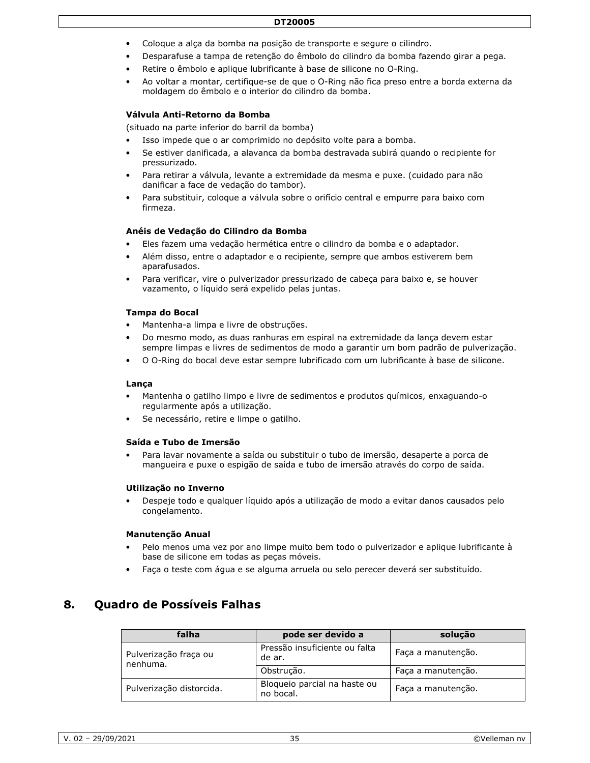#### **DT20005**

- Coloque a alça da bomba na posição de transporte e segure o cilindro.
- Desparafuse a tampa de retenção do êmbolo do cilindro da bomba fazendo girar a pega.
- Retire o êmbolo e aplique lubrificante à base de silicone no O-Ring.
- Ao voltar a montar, certifique-se de que o O-Ring não fica preso entre a borda externa da moldagem do êmbolo e o interior do cilindro da bomba.

#### **Válvula Anti-Retorno da Bomba**

(situado na parte inferior do barril da bomba)

- Isso impede que o ar comprimido no depósito volte para a bomba.
- Se estiver danificada, a alavanca da bomba destravada subirá quando o recipiente for pressurizado.
- Para retirar a válvula, levante a extremidade da mesma e puxe. (cuidado para não danificar a face de vedação do tambor).
- Para substituir, coloque a válvula sobre o orifício central e empurre para baixo com firmeza.

#### **Anéis de Vedação do Cilindro da Bomba**

- Eles fazem uma vedação hermética entre o cilindro da bomba e o adaptador.
- Além disso, entre o adaptador e o recipiente, sempre que ambos estiverem bem aparafusados.
- Para verificar, vire o pulverizador pressurizado de cabeça para baixo e, se houver vazamento, o líquido será expelido pelas juntas.

#### **Tampa do Bocal**

- Mantenha-a limpa e livre de obstruções.
- Do mesmo modo, as duas ranhuras em espiral na extremidade da lança devem estar sempre limpas e livres de sedimentos de modo a garantir um bom padrão de pulverização.
- O O-Ring do bocal deve estar sempre lubrificado com um lubrificante à base de silicone.

#### **Lança**

- Mantenha o gatilho limpo e livre de sedimentos e produtos químicos, enxaguando-o regularmente após a utilização.
- Se necessário, retire e limpe o gatilho.

#### **Saída e Tubo de Imersão**

• Para lavar novamente a saída ou substituir o tubo de imersão, desaperte a porca de mangueira e puxe o espigão de saída e tubo de imersão através do corpo de saída.

#### **Utilização no Inverno**

• Despeje todo e qualquer líquido após a utilização de modo a evitar danos causados pelo congelamento.

#### **Manutenção Anual**

- Pelo menos uma vez por ano limpe muito bem todo o pulverizador e aplique lubrificante à base de silicone em todas as peças móveis.
- Faça o teste com água e se alguma arruela ou selo perecer deverá ser substituído.

### **8. Quadro de Possíveis Falhas**

| falha                             | pode ser devido a                         | solução            |
|-----------------------------------|-------------------------------------------|--------------------|
| Pulverização fraça ou<br>nenhuma. | Pressão insuficiente ou falta<br>de ar.   | Faça a manutenção. |
|                                   | Obstrução.                                | Faça a manutenção. |
| Pulverização distorcida.          | Bloqueio parcial na haste ou<br>no bocal. | Faça a manutenção. |